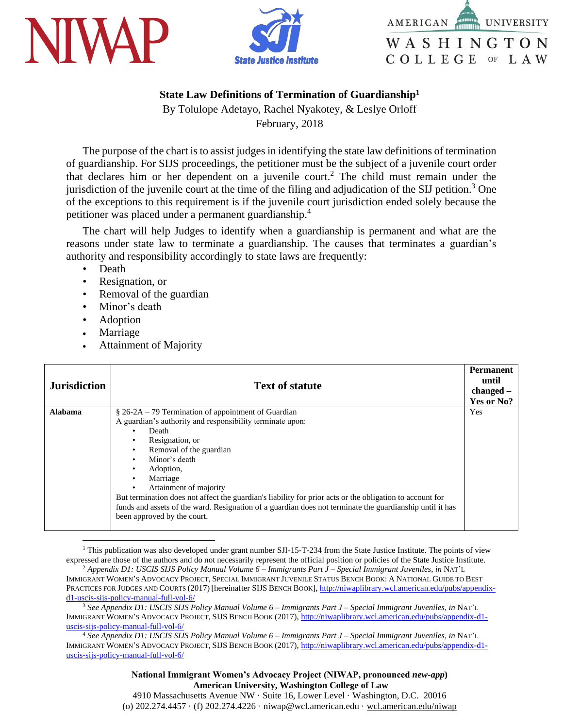





## **State Law Definitions of Termination of Guardianship<sup>1</sup>**

By Tolulope Adetayo, Rachel Nyakotey, & Leslye Orloff February, 2018

The purpose of the chart is to assist judges in identifying the state law definitions of termination of guardianship. For SIJS proceedings, the petitioner must be the subject of a juvenile court order that declares him or her dependent on a juvenile court. <sup>2</sup> The child must remain under the jurisdiction of the juvenile court at the time of the filing and adjudication of the SIJ petition.<sup>3</sup> One of the exceptions to this requirement is if the juvenile court jurisdiction ended solely because the petitioner was placed under a permanent guardianship.<sup>4</sup>

The chart will help Judges to identify when a guardianship is permanent and what are the reasons under state law to terminate a guardianship. The causes that terminates a guardian's authority and responsibility accordingly to state laws are frequently:

- Death
- Resignation, or
- Removal of the guardian
- Minor's death
- Adoption
- Marriage

 $\overline{a}$ 

Attainment of Majority

| <b>Jurisdiction</b> | <b>Text of statute</b>                                                                                   | <b>Permanent</b><br>until<br>$changed -$<br>Yes or No? |
|---------------------|----------------------------------------------------------------------------------------------------------|--------------------------------------------------------|
| <b>Alabama</b>      | $\S$ 26-2A – 79 Termination of appointment of Guardian                                                   | Yes                                                    |
|                     | A guardian's authority and responsibility terminate upon:                                                |                                                        |
|                     | Death                                                                                                    |                                                        |
|                     | Resignation, or<br>Removal of the guardian<br>٠                                                          |                                                        |
|                     | Minor's death<br>٠                                                                                       |                                                        |
|                     | Adoption,                                                                                                |                                                        |
|                     | Marriage                                                                                                 |                                                        |
|                     | Attainment of majority<br>$\bullet$                                                                      |                                                        |
|                     | But termination does not affect the guardian's liability for prior acts or the obligation to account for |                                                        |
|                     | funds and assets of the ward. Resignation of a guardian does not terminate the guardianship until it has |                                                        |
|                     | been approved by the court.                                                                              |                                                        |
|                     |                                                                                                          |                                                        |

<sup>1</sup> This publication was also developed under grant number SJI-15-T-234 from the State Justice Institute. The points of view expressed are those of the authors and do not necessarily represent the official position or policies of the State Justice Institute. <sup>2</sup> *Appendix D1: USCIS SIJS Policy Manual Volume 6 – Immigrants Part J – Special Immigrant Juveniles, in* NAT'L

<sup>3</sup> *See Appendix D1: USCIS SIJS Policy Manual Volume 6 – Immigrants Part J – Special Immigrant Juveniles, in* NAT'L IMMIGRANT WOMEN'S ADVOCACY PROJECT, SIJS BENCH BOOK (2017)[, http://niwaplibrary.wcl.american.edu/pubs/appendix-d1](http://niwaplibrary.wcl.american.edu/pubs/appendix-d1-uscis-sijs-policy-manual-full-vol-6/) [uscis-sijs-policy-manual-full-vol-6/](http://niwaplibrary.wcl.american.edu/pubs/appendix-d1-uscis-sijs-policy-manual-full-vol-6/)

<sup>4</sup> *See Appendix D1: USCIS SIJS Policy Manual Volume 6 – Immigrants Part J – Special Immigrant Juveniles, in* NAT'L IMMIGRANT WOMEN'S ADVOCACY PROJECT, SIJS BENCH BOOK (2017)[, http://niwaplibrary.wcl.american.edu/pubs/appendix-d1](http://niwaplibrary.wcl.american.edu/pubs/appendix-d1-uscis-sijs-policy-manual-full-vol-6/) [uscis-sijs-policy-manual-full-vol-6/](http://niwaplibrary.wcl.american.edu/pubs/appendix-d1-uscis-sijs-policy-manual-full-vol-6/)

> **National Immigrant Women's Advocacy Project (NIWAP, pronounced** *new-app***) American University, Washington College of Law**

4910 Massachusetts Avenue NW · Suite 16, Lower Level · Washington, D.C. 20016 (o) 202.274.4457 · (f) 202.274.4226 · niwap@wcl.american.edu · wcl.american.edu/niwap

IMMIGRANT WOMEN'S ADVOCACY PROJECT, SPECIAL IMMIGRANT JUVENILE STATUS BENCH BOOK: A NATIONAL GUIDE TO BEST PRACTICES FOR JUDGES AND COURTS (2017) [hereinafter SIJS BENCH BOOK], [http://niwaplibrary.wcl.american.edu/pubs/appendix](http://niwaplibrary.wcl.american.edu/pubs/appendix-d1-uscis-sijs-policy-manual-full-vol-6/)[d1-uscis-sijs-policy-manual-full-vol-6/](http://niwaplibrary.wcl.american.edu/pubs/appendix-d1-uscis-sijs-policy-manual-full-vol-6/)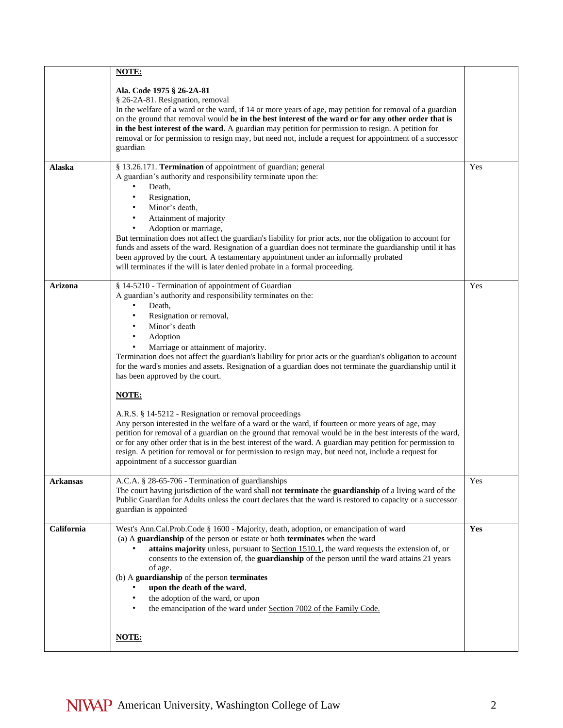|                | NOTE:                                                                                                                                                                                                                                                                                                                                                                                                                                                                                                                                                                                                                                                                                                                                                                                                                                                                                                                                                                                                                        |     |
|----------------|------------------------------------------------------------------------------------------------------------------------------------------------------------------------------------------------------------------------------------------------------------------------------------------------------------------------------------------------------------------------------------------------------------------------------------------------------------------------------------------------------------------------------------------------------------------------------------------------------------------------------------------------------------------------------------------------------------------------------------------------------------------------------------------------------------------------------------------------------------------------------------------------------------------------------------------------------------------------------------------------------------------------------|-----|
| Alaska         | Ala. Code 1975 § 26-2A-81<br>§ 26-2A-81. Resignation, removal<br>In the welfare of a ward or the ward, if 14 or more years of age, may petition for removal of a guardian<br>on the ground that removal would be in the best interest of the ward or for any other order that is<br>in the best interest of the ward. A guardian may petition for permission to resign. A petition for<br>removal or for permission to resign may, but need not, include a request for appointment of a successor<br>guardian<br>§ 13.26.171. Termination of appointment of guardian; general                                                                                                                                                                                                                                                                                                                                                                                                                                                | Yes |
|                | A guardian's authority and responsibility terminate upon the:<br>Death,<br>$\bullet$<br>Resignation,<br>Minor's death,<br>Attainment of majority<br>$\bullet$<br>Adoption or marriage,<br>But termination does not affect the guardian's liability for prior acts, nor the obligation to account for<br>funds and assets of the ward. Resignation of a guardian does not terminate the guardianship until it has<br>been approved by the court. A testamentary appointment under an informally probated<br>will terminates if the will is later denied probate in a formal proceeding.                                                                                                                                                                                                                                                                                                                                                                                                                                       |     |
| <b>Arizona</b> | § 14-5210 - Termination of appointment of Guardian<br>A guardian's authority and responsibility terminates on the:<br>$\bullet$<br>Death,<br>Resignation or removal,<br>$\bullet$<br>Minor's death<br>Adoption<br>Marriage or attainment of majority.<br>Termination does not affect the guardian's liability for prior acts or the guardian's obligation to account<br>for the ward's monies and assets. Resignation of a guardian does not terminate the guardianship until it<br>has been approved by the court.<br>NOTE:<br>A.R.S. § 14-5212 - Resignation or removal proceedings<br>Any person interested in the welfare of a ward or the ward, if fourteen or more years of age, may<br>petition for removal of a guardian on the ground that removal would be in the best interests of the ward,<br>or for any other order that is in the best interest of the ward. A guardian may petition for permission to<br>resign. A petition for removal or for permission to resign may, but need not, include a request for | Yes |
| Arkansas       | appointment of a successor guardian<br>A.C.A. § 28-65-706 - Termination of guardianships<br>The court having jurisdiction of the ward shall not <b>terminate</b> the guardianship of a living ward of the<br>Public Guardian for Adults unless the court declares that the ward is restored to capacity or a successor<br>guardian is appointed                                                                                                                                                                                                                                                                                                                                                                                                                                                                                                                                                                                                                                                                              | Yes |
| California     | West's Ann.Cal.Prob.Code § 1600 - Majority, death, adoption, or emancipation of ward<br>(a) A guardianship of the person or estate or both terminates when the ward<br>attains majority unless, pursuant to Section 1510.1, the ward requests the extension of, or<br>consents to the extension of, the guardianship of the person until the ward attains 21 years<br>of age.<br>(b) A guardianship of the person terminates<br>upon the death of the ward,<br>$\bullet$<br>the adoption of the ward, or upon<br>$\bullet$<br>the emancipation of the ward under Section 7002 of the Family Code.<br>$\bullet$<br>NOTE:                                                                                                                                                                                                                                                                                                                                                                                                      | Yes |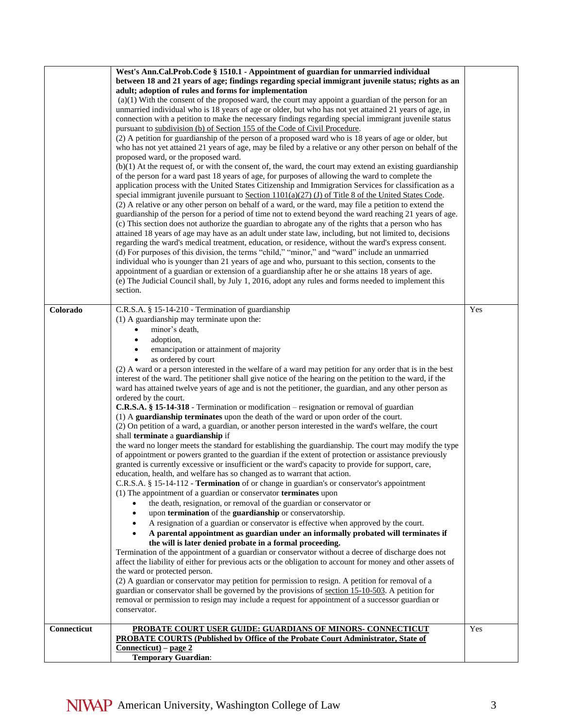|             | West's Ann.Cal.Prob.Code § 1510.1 - Appointment of guardian for unmarried individual<br>between 18 and 21 years of age; findings regarding special immigrant juvenile status; rights as an<br>adult; adoption of rules and forms for implementation<br>$(a)(1)$ With the consent of the proposed ward, the court may appoint a guardian of the person for an<br>unmarried individual who is 18 years of age or older, but who has not yet attained 21 years of age, in<br>connection with a petition to make the necessary findings regarding special immigrant juvenile status<br>pursuant to subdivision (b) of Section 155 of the Code of Civil Procedure.<br>(2) A petition for guardianship of the person of a proposed ward who is 18 years of age or older, but<br>who has not yet attained 21 years of age, may be filed by a relative or any other person on behalf of the<br>proposed ward, or the proposed ward.<br>$(b)(1)$ At the request of, or with the consent of, the ward, the court may extend an existing guardianship<br>of the person for a ward past 18 years of age, for purposes of allowing the ward to complete the<br>application process with the United States Citizenship and Immigration Services for classification as a<br>special immigrant juvenile pursuant to Section $1101(a)(27)$ (J) of Title 8 of the United States Code.<br>(2) A relative or any other person on behalf of a ward, or the ward, may file a petition to extend the<br>guardianship of the person for a period of time not to extend beyond the ward reaching 21 years of age.<br>(c) This section does not authorize the guardian to abrogate any of the rights that a person who has<br>attained 18 years of age may have as an adult under state law, including, but not limited to, decisions<br>regarding the ward's medical treatment, education, or residence, without the ward's express consent.<br>(d) For purposes of this division, the terms "child," "minor," and "ward" include an unmarried                                                                                                                                                                                                                                                                                                                                                                                                                                      |     |
|-------------|------------------------------------------------------------------------------------------------------------------------------------------------------------------------------------------------------------------------------------------------------------------------------------------------------------------------------------------------------------------------------------------------------------------------------------------------------------------------------------------------------------------------------------------------------------------------------------------------------------------------------------------------------------------------------------------------------------------------------------------------------------------------------------------------------------------------------------------------------------------------------------------------------------------------------------------------------------------------------------------------------------------------------------------------------------------------------------------------------------------------------------------------------------------------------------------------------------------------------------------------------------------------------------------------------------------------------------------------------------------------------------------------------------------------------------------------------------------------------------------------------------------------------------------------------------------------------------------------------------------------------------------------------------------------------------------------------------------------------------------------------------------------------------------------------------------------------------------------------------------------------------------------------------------------------------------------------------------------------------------------------------------------------------------------------------------------------------------------------------------------------------------------------------------------------------------------------------------------------------------------------------------------------------------------------------------------------------------------------------------------------------------------------------------------------------------------------------|-----|
|             | individual who is younger than 21 years of age and who, pursuant to this section, consents to the<br>appointment of a guardian or extension of a guardianship after he or she attains 18 years of age.<br>(e) The Judicial Council shall, by July 1, 2016, adopt any rules and forms needed to implement this<br>section.                                                                                                                                                                                                                                                                                                                                                                                                                                                                                                                                                                                                                                                                                                                                                                                                                                                                                                                                                                                                                                                                                                                                                                                                                                                                                                                                                                                                                                                                                                                                                                                                                                                                                                                                                                                                                                                                                                                                                                                                                                                                                                                                  |     |
| Colorado    | C.R.S.A. § 15-14-210 - Termination of guardianship<br>$(1)$ A guardianship may terminate upon the:<br>minor's death,<br>$\bullet$<br>adoption,<br>emancipation or attainment of majority<br>as ordered by court<br>(2) A ward or a person interested in the welfare of a ward may petition for any order that is in the best<br>interest of the ward. The petitioner shall give notice of the hearing on the petition to the ward, if the<br>ward has attained twelve years of age and is not the petitioner, the guardian, and any other person as<br>ordered by the court.<br><b>C.R.S.A.</b> § 15-14-318 - Termination or modification – resignation or removal of guardian<br>(1) A guardianship terminates upon the death of the ward or upon order of the court.<br>(2) On petition of a ward, a guardian, or another person interested in the ward's welfare, the court<br>shall terminate a guardianship if<br>the ward no longer meets the standard for establishing the guardianship. The court may modify the type<br>of appointment or powers granted to the guardian if the extent of protection or assistance previously<br>granted is currently excessive or insufficient or the ward's capacity to provide for support, care,<br>education, health, and welfare has so changed as to warrant that action.<br>C.R.S.A. § 15-14-112 - Termination of or change in guardian's or conservator's appointment<br>(1) The appointment of a guardian or conservator terminates upon<br>the death, resignation, or removal of the guardian or conservator or<br>upon termination of the guardianship or conservatorship.<br>A resignation of a guardian or conservator is effective when approved by the court.<br>A parental appointment as guardian under an informally probated will terminates if<br>the will is later denied probate in a formal proceeding.<br>Termination of the appointment of a guardian or conservator without a decree of discharge does not<br>affect the liability of either for previous acts or the obligation to account for money and other assets of<br>the ward or protected person.<br>(2) A guardian or conservator may petition for permission to resign. A petition for removal of a<br>guardian or conservator shall be governed by the provisions of section 15-10-503. A petition for<br>removal or permission to resign may include a request for appointment of a successor guardian or<br>conservator. | Yes |
| Connecticut | PROBATE COURT USER GUIDE: GUARDIANS OF MINORS- CONNECTICUT<br><b>PROBATE COURTS (Published by Office of the Probate Court Administrator, State of</b><br>$Connecticut)$ – page 2<br><b>Temporary Guardian:</b>                                                                                                                                                                                                                                                                                                                                                                                                                                                                                                                                                                                                                                                                                                                                                                                                                                                                                                                                                                                                                                                                                                                                                                                                                                                                                                                                                                                                                                                                                                                                                                                                                                                                                                                                                                                                                                                                                                                                                                                                                                                                                                                                                                                                                                             | Yes |
|             |                                                                                                                                                                                                                                                                                                                                                                                                                                                                                                                                                                                                                                                                                                                                                                                                                                                                                                                                                                                                                                                                                                                                                                                                                                                                                                                                                                                                                                                                                                                                                                                                                                                                                                                                                                                                                                                                                                                                                                                                                                                                                                                                                                                                                                                                                                                                                                                                                                                            |     |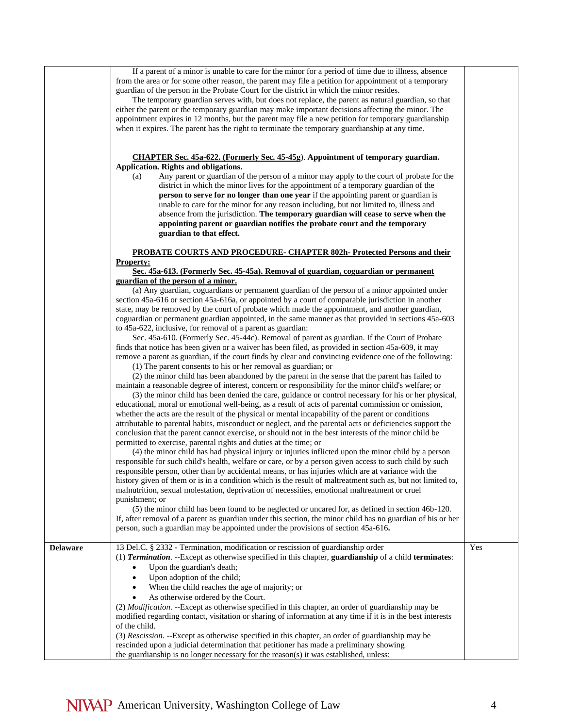If a parent of a minor is unable to care for the minor for a period of time due to illness, absence from the area or for some other reason, the parent may file a petition for appointment of a temporary guardian of the person in the Probate Court for the district in which the minor resides.

The temporary guardian serves with, but does not replace, the parent as natural guardian, so that either the parent or the temporary guardian may make important decisions affecting the minor. The appointment expires in 12 months, but the parent may file a new petition for temporary guardianship when it expires. The parent has the right to terminate the temporary guardianship at any time.

#### **CHAPTER Sec. 45a-622. (Formerly Sec. 45-45g**). **Appointment of temporary guardian. Application. Rights and obligations.**

(a) Any parent or guardian of the person of a minor may apply to the court of probate for the district in which the minor lives for the appointment of a temporary guardian of the **person to serve for no longer than one year** if the appointing parent or guardian is unable to care for the minor for any reason including, but not limited to, illness and absence from the jurisdiction. **The temporary guardian will cease to serve when the appointing parent or guardian notifies the probate court and the temporary guardian to that effect.**

## **PROBATE COURTS AND PROCEDURE- CHAPTER 802h- Protected Persons and their Property:**

### **Sec. 45a-613. (Formerly Sec. 45-45a). Removal of guardian, coguardian or permanent guardian of the person of a minor.**

(a) Any guardian, coguardians or permanent guardian of the person of a minor appointed under section 45a-616 or section 45a-616a, or appointed by a court of comparable jurisdiction in another state, may be removed by the court of probate which made the appointment, and another guardian, coguardian or permanent guardian appointed, in the same manner as that provided in sections 45a-603 to 45a-622, inclusive, for removal of a parent as guardian:

Sec. 45a-610. (Formerly Sec. 45-44c). Removal of parent as guardian. If the Court of Probate finds that notice has been given or a waiver has been filed, as provided in section 45a-609, it may remove a parent as guardian, if the court finds by clear and convincing evidence one of the following:

(1) The parent consents to his or her removal as guardian; or

(2) the minor child has been abandoned by the parent in the sense that the parent has failed to maintain a reasonable degree of interest, concern or responsibility for the minor child's welfare; or

(3) the minor child has been denied the care, guidance or control necessary for his or her physical, educational, moral or emotional well-being, as a result of acts of parental commission or omission, whether the acts are the result of the physical or mental incapability of the parent or conditions attributable to parental habits, misconduct or neglect, and the parental acts or deficiencies support the conclusion that the parent cannot exercise, or should not in the best interests of the minor child be permitted to exercise, parental rights and duties at the time; or

(4) the minor child has had physical injury or injuries inflicted upon the minor child by a person responsible for such child's health, welfare or care, or by a person given access to such child by such responsible person, other than by accidental means, or has injuries which are at variance with the history given of them or is in a condition which is the result of maltreatment such as, but not limited to, malnutrition, sexual molestation, deprivation of necessities, emotional maltreatment or cruel punishment; or

(5) the minor child has been found to be neglected or uncared for, as defined in section 46b-120. If, after removal of a parent as guardian under this section, the minor child has no guardian of his or her person, such a guardian may be appointed under the provisions of section 45a-616**.**

| <b>Delaware</b> | 13 Del.C. § 2332 - Termination, modification or rescission of guardianship order                                            | Yes |
|-----------------|-----------------------------------------------------------------------------------------------------------------------------|-----|
|                 | (1) <b>Termination.</b> --Except as otherwise specified in this chapter, <b>guardianship</b> of a child <b>terminates</b> : |     |
|                 | Upon the guardian's death;                                                                                                  |     |
|                 | Upon adoption of the child:                                                                                                 |     |
|                 | When the child reaches the age of majority; or<br>٠                                                                         |     |
|                 | As otherwise ordered by the Court.                                                                                          |     |
|                 | (2) <i>Modification.</i> --Except as otherwise specified in this chapter, an order of guardianship may be                   |     |
|                 | modified regarding contact, visitation or sharing of information at any time if it is in the best interests                 |     |
|                 | of the child.                                                                                                               |     |
|                 | (3) Rescission. --Except as otherwise specified in this chapter, an order of guardianship may be                            |     |
|                 | rescinded upon a judicial determination that petitioner has made a preliminary showing                                      |     |
|                 | the guardianship is no longer necessary for the reason(s) it was established, unless:                                       |     |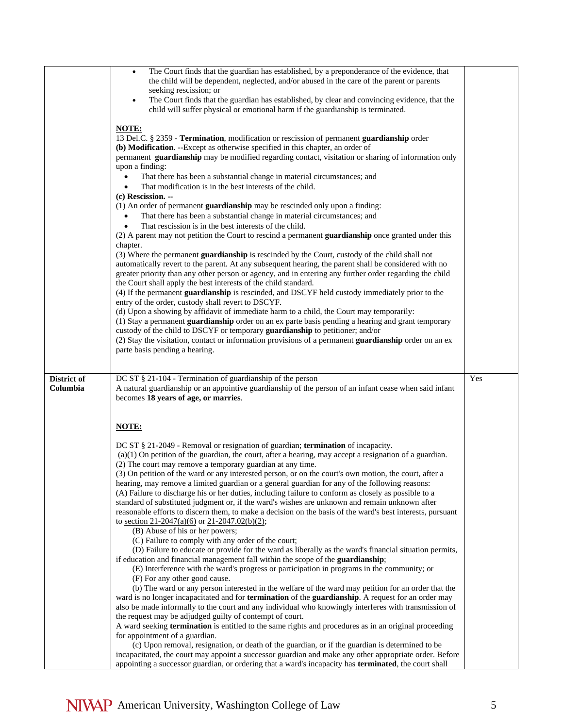|             | The Court finds that the guardian has established, by a preponderance of the evidence, that<br>٠                                                                                                                |     |
|-------------|-----------------------------------------------------------------------------------------------------------------------------------------------------------------------------------------------------------------|-----|
|             | the child will be dependent, neglected, and/or abused in the care of the parent or parents                                                                                                                      |     |
|             | seeking rescission; or                                                                                                                                                                                          |     |
|             | The Court finds that the guardian has established, by clear and convincing evidence, that the<br>$\bullet$                                                                                                      |     |
|             | child will suffer physical or emotional harm if the guardianship is terminated.                                                                                                                                 |     |
|             |                                                                                                                                                                                                                 |     |
|             | NOTE:                                                                                                                                                                                                           |     |
|             | 13 Del.C. § 2359 - Termination, modification or rescission of permanent guardianship order                                                                                                                      |     |
|             | (b) Modification. --Except as otherwise specified in this chapter, an order of                                                                                                                                  |     |
|             | permanent guardianship may be modified regarding contact, visitation or sharing of information only                                                                                                             |     |
|             | upon a finding:                                                                                                                                                                                                 |     |
|             | That there has been a substantial change in material circumstances; and                                                                                                                                         |     |
|             | That modification is in the best interests of the child.                                                                                                                                                        |     |
|             | (c) Rescission. --                                                                                                                                                                                              |     |
|             | (1) An order of permanent guardianship may be rescinded only upon a finding:                                                                                                                                    |     |
|             | That there has been a substantial change in material circumstances; and                                                                                                                                         |     |
|             | That rescission is in the best interests of the child.                                                                                                                                                          |     |
|             | (2) A parent may not petition the Court to rescind a permanent guardianship once granted under this                                                                                                             |     |
|             | chapter.                                                                                                                                                                                                        |     |
|             | (3) Where the permanent guardianship is rescinded by the Court, custody of the child shall not<br>automatically revert to the parent. At any subsequent hearing, the parent shall be considered with no         |     |
|             | greater priority than any other person or agency, and in entering any further order regarding the child                                                                                                         |     |
|             | the Court shall apply the best interests of the child standard.                                                                                                                                                 |     |
|             | (4) If the permanent guardianship is rescinded, and DSCYF held custody immediately prior to the                                                                                                                 |     |
|             | entry of the order, custody shall revert to DSCYF.                                                                                                                                                              |     |
|             | (d) Upon a showing by affidavit of immediate harm to a child, the Court may temporarily:                                                                                                                        |     |
|             | (1) Stay a permanent guardianship order on an ex parte basis pending a hearing and grant temporary                                                                                                              |     |
|             | custody of the child to DSCYF or temporary guardianship to petitioner; and/or                                                                                                                                   |     |
|             | (2) Stay the visitation, contact or information provisions of a permanent guardianship order on an ex                                                                                                           |     |
|             | parte basis pending a hearing.                                                                                                                                                                                  |     |
|             |                                                                                                                                                                                                                 |     |
|             |                                                                                                                                                                                                                 |     |
|             |                                                                                                                                                                                                                 |     |
| District of | DC ST § 21-104 - Termination of guardianship of the person                                                                                                                                                      | Yes |
| Columbia    | A natural guardianship or an appointive guardianship of the person of an infant cease when said infant                                                                                                          |     |
|             | becomes 18 years of age, or marries.                                                                                                                                                                            |     |
|             |                                                                                                                                                                                                                 |     |
|             |                                                                                                                                                                                                                 |     |
|             | <b>NOTE:</b>                                                                                                                                                                                                    |     |
|             |                                                                                                                                                                                                                 |     |
|             | DC ST § 21-2049 - Removal or resignation of guardian; termination of incapacity.                                                                                                                                |     |
|             | $(a)(1)$ On petition of the guardian, the court, after a hearing, may accept a resignation of a guardian.                                                                                                       |     |
|             | (2) The court may remove a temporary guardian at any time.                                                                                                                                                      |     |
|             | (3) On petition of the ward or any interested person, or on the court's own motion, the court, after a                                                                                                          |     |
|             | hearing, may remove a limited guardian or a general guardian for any of the following reasons:                                                                                                                  |     |
|             | (A) Failure to discharge his or her duties, including failure to conform as closely as possible to a                                                                                                            |     |
|             | standard of substituted judgment or, if the ward's wishes are unknown and remain unknown after                                                                                                                  |     |
|             | reasonable efforts to discern them, to make a decision on the basis of the ward's best interests, pursuant                                                                                                      |     |
|             | to <u>section 21-2047(a)(6)</u> or 21-2047.02(b)(2);                                                                                                                                                            |     |
|             | (B) Abuse of his or her powers;<br>(C) Failure to comply with any order of the court;                                                                                                                           |     |
|             | (D) Failure to educate or provide for the ward as liberally as the ward's financial situation permits,                                                                                                          |     |
|             | if education and financial management fall within the scope of the guardianship;                                                                                                                                |     |
|             | (E) Interference with the ward's progress or participation in programs in the community; or                                                                                                                     |     |
|             | (F) For any other good cause.                                                                                                                                                                                   |     |
|             | (b) The ward or any person interested in the welfare of the ward may petition for an order that the                                                                                                             |     |
|             | ward is no longer incapacitated and for termination of the guardianship. A request for an order may                                                                                                             |     |
|             | also be made informally to the court and any individual who knowingly interferes with transmission of                                                                                                           |     |
|             | the request may be adjudged guilty of contempt of court.                                                                                                                                                        |     |
|             | A ward seeking termination is entitled to the same rights and procedures as in an original proceeding                                                                                                           |     |
|             | for appointment of a guardian.                                                                                                                                                                                  |     |
|             | (c) Upon removal, resignation, or death of the guardian, or if the guardian is determined to be                                                                                                                 |     |
|             | incapacitated, the court may appoint a successor guardian and make any other appropriate order. Before<br>appointing a successor guardian, or ordering that a ward's incapacity has terminated, the court shall |     |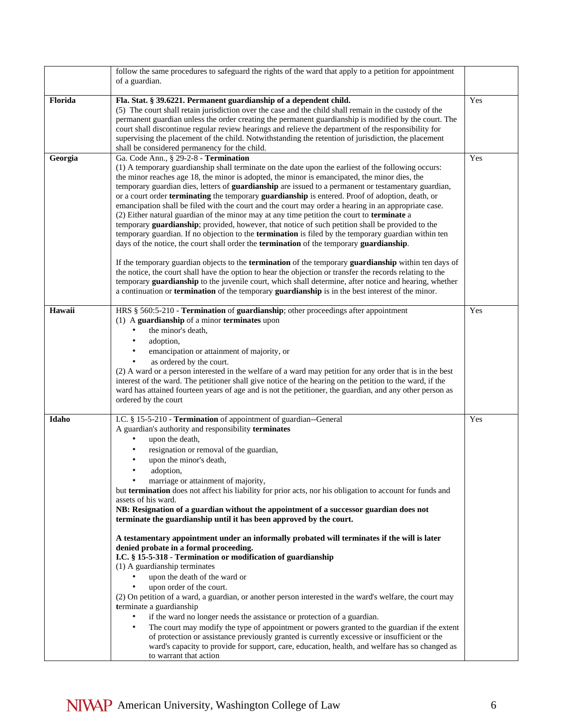|         | follow the same procedures to safeguard the rights of the ward that apply to a petition for appointment<br>of a guardian.                                                                                                                                                                                                                                                                                                                                                                                                                                                                                                                                                                                                                                                                                                                                                                                                                                                                                                                                                                                                                                                                                                                                                                                                                                                                                                                                                               |     |
|---------|-----------------------------------------------------------------------------------------------------------------------------------------------------------------------------------------------------------------------------------------------------------------------------------------------------------------------------------------------------------------------------------------------------------------------------------------------------------------------------------------------------------------------------------------------------------------------------------------------------------------------------------------------------------------------------------------------------------------------------------------------------------------------------------------------------------------------------------------------------------------------------------------------------------------------------------------------------------------------------------------------------------------------------------------------------------------------------------------------------------------------------------------------------------------------------------------------------------------------------------------------------------------------------------------------------------------------------------------------------------------------------------------------------------------------------------------------------------------------------------------|-----|
| Florida | Fla. Stat. § 39.6221. Permanent guardianship of a dependent child.<br>(5) The court shall retain jurisdiction over the case and the child shall remain in the custody of the<br>permanent guardian unless the order creating the permanent guardianship is modified by the court. The<br>court shall discontinue regular review hearings and relieve the department of the responsibility for<br>supervising the placement of the child. Notwithstanding the retention of jurisdiction, the placement<br>shall be considered permanency for the child.                                                                                                                                                                                                                                                                                                                                                                                                                                                                                                                                                                                                                                                                                                                                                                                                                                                                                                                                  | Yes |
| Georgia | Ga. Code Ann., § 29-2-8 - Termination<br>(1) A temporary guardianship shall terminate on the date upon the earliest of the following occurs:<br>the minor reaches age 18, the minor is adopted, the minor is emancipated, the minor dies, the<br>temporary guardian dies, letters of guardianship are issued to a permanent or testamentary guardian,<br>or a court order terminating the temporary guardianship is entered. Proof of adoption, death, or<br>emancipation shall be filed with the court and the court may order a hearing in an appropriate case.<br>(2) Either natural guardian of the minor may at any time petition the court to terminate a<br>temporary guardianship; provided, however, that notice of such petition shall be provided to the<br>temporary guardian. If no objection to the <b>termination</b> is filed by the temporary guardian within ten<br>days of the notice, the court shall order the termination of the temporary guardianship.<br>If the temporary guardian objects to the termination of the temporary guardianship within ten days of<br>the notice, the court shall have the option to hear the objection or transfer the records relating to the<br>temporary guardianship to the juvenile court, which shall determine, after notice and hearing, whether<br>a continuation or <b>termination</b> of the temporary <b>guardianship</b> is in the best interest of the minor.                                                       | Yes |
| Hawaii  | HRS § 560:5-210 - Termination of guardianship; other proceedings after appointment<br>(1) A guardianship of a minor terminates upon<br>the minor's death,<br>$\bullet$<br>adoption,<br>$\bullet$<br>emancipation or attainment of majority, or<br>as ordered by the court.<br>$\bullet$<br>(2) A ward or a person interested in the welfare of a ward may petition for any order that is in the best<br>interest of the ward. The petitioner shall give notice of the hearing on the petition to the ward, if the<br>ward has attained fourteen years of age and is not the petitioner, the guardian, and any other person as<br>ordered by the court                                                                                                                                                                                                                                                                                                                                                                                                                                                                                                                                                                                                                                                                                                                                                                                                                                   | Yes |
| Idaho   | I.C. § 15-5-210 - Termination of appointment of guardian--General<br>A guardian's authority and responsibility terminates<br>$\bullet$<br>upon the death,<br>resignation or removal of the guardian,<br>upon the minor's death,<br>adoption,<br>marriage or attainment of majority,<br>but termination does not affect his liability for prior acts, nor his obligation to account for funds and<br>assets of his ward.<br>NB: Resignation of a guardian without the appointment of a successor guardian does not<br>terminate the guardianship until it has been approved by the court.<br>A testamentary appointment under an informally probated will terminates if the will is later<br>denied probate in a formal proceeding.<br>I.C. § 15-5-318 - Termination or modification of guardianship<br>(1) A guardianship terminates<br>$\bullet$<br>upon the death of the ward or<br>upon order of the court.<br>(2) On petition of a ward, a guardian, or another person interested in the ward's welfare, the court may<br>terminate a guardianship<br>if the ward no longer needs the assistance or protection of a guardian.<br>$\bullet$<br>The court may modify the type of appointment or powers granted to the guardian if the extent<br>$\bullet$<br>of protection or assistance previously granted is currently excessive or insufficient or the<br>ward's capacity to provide for support, care, education, health, and welfare has so changed as<br>to warrant that action | Yes |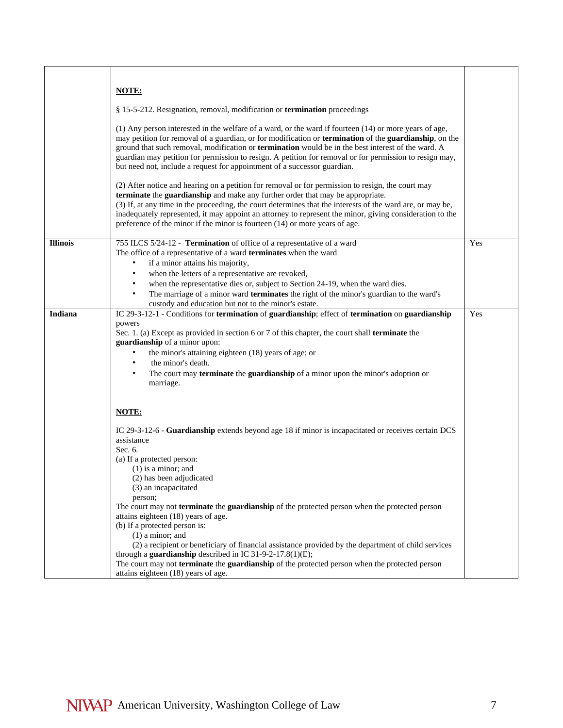|                 | <b>NOTE:</b>                                                                                                                                                                                                                                                                                                                                                                                                                                                                                                             |     |
|-----------------|--------------------------------------------------------------------------------------------------------------------------------------------------------------------------------------------------------------------------------------------------------------------------------------------------------------------------------------------------------------------------------------------------------------------------------------------------------------------------------------------------------------------------|-----|
|                 |                                                                                                                                                                                                                                                                                                                                                                                                                                                                                                                          |     |
|                 | § 15-5-212. Resignation, removal, modification or <b>termination</b> proceedings                                                                                                                                                                                                                                                                                                                                                                                                                                         |     |
|                 | $(1)$ Any person interested in the welfare of a ward, or the ward if fourteen $(14)$ or more years of age,<br>may petition for removal of a guardian, or for modification or <b>termination</b> of the guardianship, on the<br>ground that such removal, modification or termination would be in the best interest of the ward. A<br>guardian may petition for permission to resign. A petition for removal or for permission to resign may,<br>but need not, include a request for appointment of a successor guardian. |     |
|                 | (2) After notice and hearing on a petition for removal or for permission to resign, the court may<br>terminate the guardianship and make any further order that may be appropriate.<br>(3) If, at any time in the proceeding, the court determines that the interests of the ward are, or may be,<br>inadequately represented, it may appoint an attorney to represent the minor, giving consideration to the<br>preference of the minor if the minor is fourteen (14) or more years of age.                             |     |
| <b>Illinois</b> | 755 ILCS 5/24-12 - Termination of office of a representative of a ward                                                                                                                                                                                                                                                                                                                                                                                                                                                   | Yes |
|                 | The office of a representative of a ward terminates when the ward                                                                                                                                                                                                                                                                                                                                                                                                                                                        |     |
|                 | if a minor attains his majority,<br>٠                                                                                                                                                                                                                                                                                                                                                                                                                                                                                    |     |
|                 | when the letters of a representative are revoked,                                                                                                                                                                                                                                                                                                                                                                                                                                                                        |     |
|                 | when the representative dies or, subject to Section 24-19, when the ward dies.                                                                                                                                                                                                                                                                                                                                                                                                                                           |     |
|                 | The marriage of a minor ward terminates the right of the minor's guardian to the ward's<br>custody and education but not to the minor's estate.                                                                                                                                                                                                                                                                                                                                                                          |     |
| <b>Indiana</b>  | IC 29-3-12-1 - Conditions for termination of guardianship; effect of termination on guardianship                                                                                                                                                                                                                                                                                                                                                                                                                         | Yes |
|                 | powers                                                                                                                                                                                                                                                                                                                                                                                                                                                                                                                   |     |
|                 | Sec. 1. (a) Except as provided in section 6 or 7 of this chapter, the court shall <b>terminate</b> the                                                                                                                                                                                                                                                                                                                                                                                                                   |     |
|                 | guardianship of a minor upon:                                                                                                                                                                                                                                                                                                                                                                                                                                                                                            |     |
|                 | the minor's attaining eighteen (18) years of age; or<br>$\bullet$<br>$\bullet$                                                                                                                                                                                                                                                                                                                                                                                                                                           |     |
|                 | the minor's death.<br>$\bullet$                                                                                                                                                                                                                                                                                                                                                                                                                                                                                          |     |
|                 | The court may <b>terminate</b> the <b>guardianship</b> of a minor upon the minor's adoption or<br>marriage.                                                                                                                                                                                                                                                                                                                                                                                                              |     |
|                 |                                                                                                                                                                                                                                                                                                                                                                                                                                                                                                                          |     |
|                 | NOTE:                                                                                                                                                                                                                                                                                                                                                                                                                                                                                                                    |     |
|                 | IC 29-3-12-6 - Guardianship extends beyond age 18 if minor is incapacitated or receives certain DCS<br>assistance<br>Sec. 6.                                                                                                                                                                                                                                                                                                                                                                                             |     |
|                 | (a) If a protected person:                                                                                                                                                                                                                                                                                                                                                                                                                                                                                               |     |
|                 | $(1)$ is a minor; and                                                                                                                                                                                                                                                                                                                                                                                                                                                                                                    |     |
|                 | (2) has been adjudicated                                                                                                                                                                                                                                                                                                                                                                                                                                                                                                 |     |
|                 | (3) an incapacitated                                                                                                                                                                                                                                                                                                                                                                                                                                                                                                     |     |
|                 | person;                                                                                                                                                                                                                                                                                                                                                                                                                                                                                                                  |     |
|                 | The court may not <b>terminate</b> the <b>guardianship</b> of the protected person when the protected person<br>attains eighteen (18) years of age.                                                                                                                                                                                                                                                                                                                                                                      |     |
|                 | (b) If a protected person is:                                                                                                                                                                                                                                                                                                                                                                                                                                                                                            |     |
|                 | $(1)$ a minor; and                                                                                                                                                                                                                                                                                                                                                                                                                                                                                                       |     |
|                 | (2) a recipient or beneficiary of financial assistance provided by the department of child services                                                                                                                                                                                                                                                                                                                                                                                                                      |     |
|                 | through a guardianship described in IC 31-9-2-17.8(1)(E);                                                                                                                                                                                                                                                                                                                                                                                                                                                                |     |
|                 | The court may not terminate the guardianship of the protected person when the protected person                                                                                                                                                                                                                                                                                                                                                                                                                           |     |
|                 | attains eighteen (18) years of age.                                                                                                                                                                                                                                                                                                                                                                                                                                                                                      |     |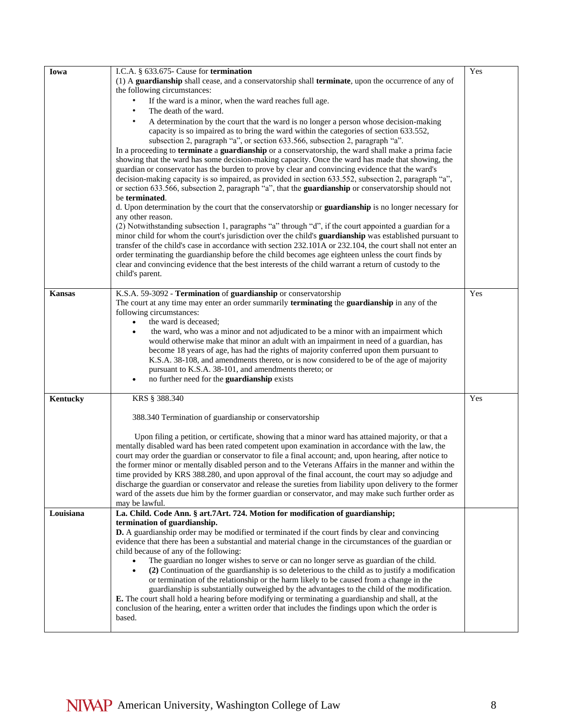| Iowa          | I.C.A. § 633.675- Cause for termination                                                                       | Yes |
|---------------|---------------------------------------------------------------------------------------------------------------|-----|
|               | (1) A guardianship shall cease, and a conservatorship shall terminate, upon the occurrence of any of          |     |
|               | the following circumstances:                                                                                  |     |
|               | If the ward is a minor, when the ward reaches full age.                                                       |     |
|               | The death of the ward.                                                                                        |     |
|               | A determination by the court that the ward is no longer a person whose decision-making                        |     |
|               | capacity is so impaired as to bring the ward within the categories of section 633.552,                        |     |
|               | subsection 2, paragraph "a", or section 633.566, subsection 2, paragraph "a".                                 |     |
|               | In a proceeding to <b>terminate</b> a guardianship or a conservatorship, the ward shall make a prima facie    |     |
|               | showing that the ward has some decision-making capacity. Once the ward has made that showing, the             |     |
|               | guardian or conservator has the burden to prove by clear and convincing evidence that the ward's              |     |
|               | decision-making capacity is so impaired, as provided in section 633.552, subsection 2, paragraph "a",         |     |
|               | or section 633.566, subsection 2, paragraph "a", that the guardianship or conservatorship should not          |     |
|               | be terminated.                                                                                                |     |
|               | d. Upon determination by the court that the conservatorship or guardianship is no longer necessary for        |     |
|               | any other reason.                                                                                             |     |
|               | (2) Notwithstanding subsection 1, paragraphs "a" through "d", if the court appointed a guardian for a         |     |
|               | minor child for whom the court's jurisdiction over the child's guardianship was established pursuant to       |     |
|               | transfer of the child's case in accordance with section 232.101A or 232.104, the court shall not enter an     |     |
|               | order terminating the guardianship before the child becomes age eighteen unless the court finds by            |     |
|               | clear and convincing evidence that the best interests of the child warrant a return of custody to the         |     |
|               | child's parent.                                                                                               |     |
| <b>Kansas</b> | K.S.A. 59-3092 - Termination of guardianship or conservatorship                                               | Yes |
|               | The court at any time may enter an order summarily <b>terminating</b> the <b>guardianship</b> in any of the   |     |
|               | following circumstances:                                                                                      |     |
|               | the ward is deceased;<br>$\bullet$                                                                            |     |
|               | the ward, who was a minor and not adjudicated to be a minor with an impairment which                          |     |
|               | would otherwise make that minor an adult with an impairment in need of a guardian, has                        |     |
|               | become 18 years of age, has had the rights of majority conferred upon them pursuant to                        |     |
|               | K.S.A. 38-108, and amendments thereto, or is now considered to be of the age of majority                      |     |
|               | pursuant to K.S.A. 38-101, and amendments thereto; or                                                         |     |
|               | no further need for the guardianship exists<br>$\bullet$                                                      |     |
|               |                                                                                                               |     |
| Kentucky      | KRS § 388.340                                                                                                 | Yes |
|               | 388.340 Termination of guardianship or conservatorship                                                        |     |
|               |                                                                                                               |     |
|               | Upon filing a petition, or certificate, showing that a minor ward has attained majority, or that a            |     |
|               | mentally disabled ward has been rated competent upon examination in accordance with the law, the              |     |
|               | court may order the guardian or conservator to file a final account; and, upon hearing, after notice to       |     |
|               | the former minor or mentally disabled person and to the Veterans Affairs in the manner and within the         |     |
|               | time provided by KRS 388.280, and upon approval of the final account, the court may so adjudge and            |     |
|               | discharge the guardian or conservator and release the sureties from liability upon delivery to the former     |     |
|               | ward of the assets due him by the former guardian or conservator, and may make such further order as          |     |
|               | may be lawful.                                                                                                |     |
| Louisiana     | La. Child. Code Ann. § art.7Art. 724. Motion for modification of guardianship;                                |     |
|               | termination of guardianship.                                                                                  |     |
|               | <b>D.</b> A guardianship order may be modified or terminated if the court finds by clear and convincing       |     |
|               | evidence that there has been a substantial and material change in the circumstances of the guardian or        |     |
|               | child because of any of the following:                                                                        |     |
|               | The guardian no longer wishes to serve or can no longer serve as guardian of the child.<br>$\bullet$          |     |
|               | (2) Continuation of the guardianship is so deleterious to the child as to justify a modification<br>$\bullet$ |     |
|               | or termination of the relationship or the harm likely to be caused from a change in the                       |     |
|               | guardianship is substantially outweighed by the advantages to the child of the modification.                  |     |
|               | E. The court shall hold a hearing before modifying or terminating a guardianship and shall, at the            |     |
|               | conclusion of the hearing, enter a written order that includes the findings upon which the order is<br>based. |     |
|               |                                                                                                               |     |
|               |                                                                                                               |     |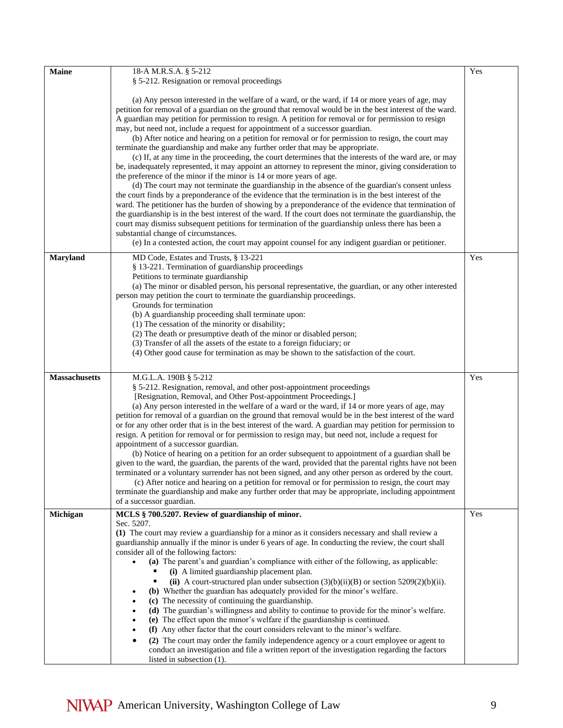| <b>Maine</b>         | 18-A M.R.S.A. § 5-212                                                                                                                                                                                                                                                                                                                                                                                                                                                                                                                                                                                                                                                                                                                                                                                                                                                                                                                                                                                                                                                                                                                                                                                                                                                                                                                                                                                                                                                                                                                                                               | Yes |
|----------------------|-------------------------------------------------------------------------------------------------------------------------------------------------------------------------------------------------------------------------------------------------------------------------------------------------------------------------------------------------------------------------------------------------------------------------------------------------------------------------------------------------------------------------------------------------------------------------------------------------------------------------------------------------------------------------------------------------------------------------------------------------------------------------------------------------------------------------------------------------------------------------------------------------------------------------------------------------------------------------------------------------------------------------------------------------------------------------------------------------------------------------------------------------------------------------------------------------------------------------------------------------------------------------------------------------------------------------------------------------------------------------------------------------------------------------------------------------------------------------------------------------------------------------------------------------------------------------------------|-----|
|                      | § 5-212. Resignation or removal proceedings                                                                                                                                                                                                                                                                                                                                                                                                                                                                                                                                                                                                                                                                                                                                                                                                                                                                                                                                                                                                                                                                                                                                                                                                                                                                                                                                                                                                                                                                                                                                         |     |
|                      | (a) Any person interested in the welfare of a ward, or the ward, if 14 or more years of age, may<br>petition for removal of a guardian on the ground that removal would be in the best interest of the ward.<br>A guardian may petition for permission to resign. A petition for removal or for permission to resign<br>may, but need not, include a request for appointment of a successor guardian.<br>(b) After notice and hearing on a petition for removal or for permission to resign, the court may<br>terminate the guardianship and make any further order that may be appropriate.<br>(c) If, at any time in the proceeding, the court determines that the interests of the ward are, or may<br>be, inadequately represented, it may appoint an attorney to represent the minor, giving consideration to<br>the preference of the minor if the minor is 14 or more years of age.<br>(d) The court may not terminate the guardianship in the absence of the guardian's consent unless<br>the court finds by a preponderance of the evidence that the termination is in the best interest of the<br>ward. The petitioner has the burden of showing by a preponderance of the evidence that termination of<br>the guardianship is in the best interest of the ward. If the court does not terminate the guardianship, the<br>court may dismiss subsequent petitions for termination of the guardianship unless there has been a<br>substantial change of circumstances.<br>(e) In a contested action, the court may appoint counsel for any indigent guardian or petitioner. |     |
| <b>Maryland</b>      | MD Code, Estates and Trusts, § 13-221                                                                                                                                                                                                                                                                                                                                                                                                                                                                                                                                                                                                                                                                                                                                                                                                                                                                                                                                                                                                                                                                                                                                                                                                                                                                                                                                                                                                                                                                                                                                               | Yes |
|                      | § 13-221. Termination of guardianship proceedings<br>Petitions to terminate guardianship<br>(a) The minor or disabled person, his personal representative, the guardian, or any other interested<br>person may petition the court to terminate the guardianship proceedings.<br>Grounds for termination<br>(b) A guardianship proceeding shall terminate upon:<br>(1) The cessation of the minority or disability;<br>(2) The death or presumptive death of the minor or disabled person;<br>(3) Transfer of all the assets of the estate to a foreign fiduciary; or<br>(4) Other good cause for termination as may be shown to the satisfaction of the court.                                                                                                                                                                                                                                                                                                                                                                                                                                                                                                                                                                                                                                                                                                                                                                                                                                                                                                                      |     |
| <b>Massachusetts</b> | M.G.L.A. 190B § 5-212                                                                                                                                                                                                                                                                                                                                                                                                                                                                                                                                                                                                                                                                                                                                                                                                                                                                                                                                                                                                                                                                                                                                                                                                                                                                                                                                                                                                                                                                                                                                                               | Yes |
|                      | § 5-212. Resignation, removal, and other post-appointment proceedings<br>[Resignation, Removal, and Other Post-appointment Proceedings.]<br>(a) Any person interested in the welfare of a ward or the ward, if 14 or more years of age, may<br>petition for removal of a guardian on the ground that removal would be in the best interest of the ward<br>or for any other order that is in the best interest of the ward. A guardian may petition for permission to<br>resign. A petition for removal or for permission to resign may, but need not, include a request for<br>appointment of a successor guardian.<br>(b) Notice of hearing on a petition for an order subsequent to appointment of a guardian shall be<br>given to the ward, the guardian, the parents of the ward, provided that the parental rights have not been<br>terminated or a voluntary surrender has not been signed, and any other person as ordered by the court.<br>(c) After notice and hearing on a petition for removal or for permission to resign, the court may<br>terminate the guardianship and make any further order that may be appropriate, including appointment<br>of a successor guardian.                                                                                                                                                                                                                                                                                                                                                                                            |     |
| Michigan             | MCLS § 700.5207. Review of guardianship of minor.                                                                                                                                                                                                                                                                                                                                                                                                                                                                                                                                                                                                                                                                                                                                                                                                                                                                                                                                                                                                                                                                                                                                                                                                                                                                                                                                                                                                                                                                                                                                   | Yes |
|                      | Sec. 5207.<br>(1) The court may review a guardianship for a minor as it considers necessary and shall review a<br>guardianship annually if the minor is under 6 years of age. In conducting the review, the court shall<br>consider all of the following factors:<br>(a) The parent's and guardian's compliance with either of the following, as applicable:<br>(i) A limited guardianship placement plan.<br>(ii) A court-structured plan under subsection $(3)(b)(ii)(B)$ or section $5209(2)(b)(ii)$ .<br>(b) Whether the guardian has adequately provided for the minor's welfare.<br>(c) The necessity of continuing the guardianship.<br>(d) The guardian's willingness and ability to continue to provide for the minor's welfare.<br>(e) The effect upon the minor's welfare if the guardianship is continued.<br>(f) Any other factor that the court considers relevant to the minor's welfare.<br>(2) The court may order the family independence agency or a court employee or agent to<br>conduct an investigation and file a written report of the investigation regarding the factors<br>listed in subsection (1).                                                                                                                                                                                                                                                                                                                                                                                                                                                    |     |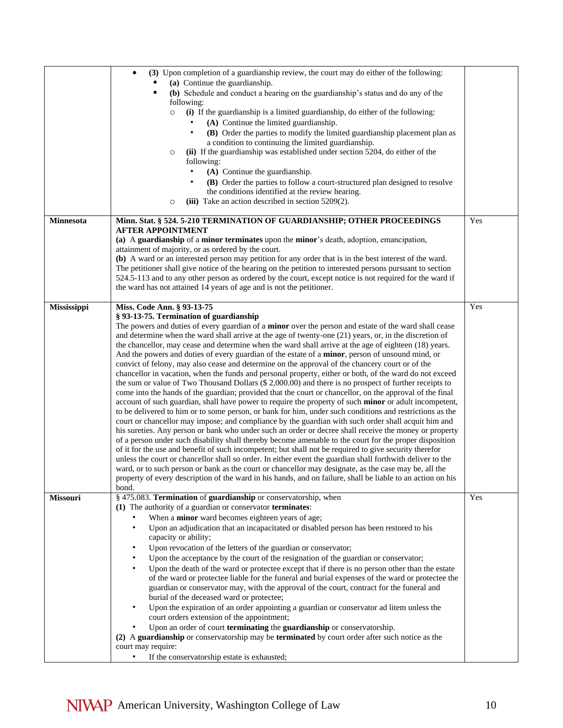|                 | (3) Upon completion of a guardianship review, the court may do either of the following:<br>$\bullet$<br>(a) Continue the guardianship.<br>(b) Schedule and conduct a hearing on the guardianship's status and do any of the                                                                   |     |
|-----------------|-----------------------------------------------------------------------------------------------------------------------------------------------------------------------------------------------------------------------------------------------------------------------------------------------|-----|
|                 | following:<br>(i) If the guardianship is a limited guardianship, do either of the following:<br>$\circ$<br>(A) Continue the limited guardianship.                                                                                                                                             |     |
|                 | (B) Order the parties to modify the limited guardianship placement plan as<br>a condition to continuing the limited guardianship.                                                                                                                                                             |     |
|                 | (ii) If the guardianship was established under section 5204, do either of the<br>$\circ$<br>following:<br>(A) Continue the guardianship.                                                                                                                                                      |     |
|                 | (B) Order the parties to follow a court-structured plan designed to resolve<br>the conditions identified at the review hearing.                                                                                                                                                               |     |
|                 | (iii) Take an action described in section $5209(2)$ .<br>$\circ$                                                                                                                                                                                                                              |     |
| Minnesota       | Minn. Stat. § 524. 5-210 TERMINATION OF GUARDIANSHIP; OTHER PROCEEDINGS<br><b>AFTER APPOINTMENT</b><br>(a) A guardianship of a minor terminates upon the minor's death, adoption, emancipation,                                                                                               | Yes |
|                 | attainment of majority, or as ordered by the court.<br>(b) A ward or an interested person may petition for any order that is in the best interest of the ward.                                                                                                                                |     |
|                 | The petitioner shall give notice of the hearing on the petition to interested persons pursuant to section<br>524.5-113 and to any other person as ordered by the court, except notice is not required for the ward if<br>the ward has not attained 14 years of age and is not the petitioner. |     |
|                 |                                                                                                                                                                                                                                                                                               | Yes |
| Mississippi     | Miss. Code Ann. § 93-13-75<br>§ 93-13-75. Termination of guardianship                                                                                                                                                                                                                         |     |
|                 | The powers and duties of every guardian of a <b>minor</b> over the person and estate of the ward shall cease<br>and determine when the ward shall arrive at the age of twenty-one (21) years, or, in the discretion of                                                                        |     |
|                 | the chancellor, may cease and determine when the ward shall arrive at the age of eighteen (18) years.                                                                                                                                                                                         |     |
|                 | And the powers and duties of every guardian of the estate of a minor, person of unsound mind, or<br>convict of felony, may also cease and determine on the approval of the chancery court or of the                                                                                           |     |
|                 | chancellor in vacation, when the funds and personal property, either or both, of the ward do not exceed                                                                                                                                                                                       |     |
|                 | the sum or value of Two Thousand Dollars (\$ 2,000.00) and there is no prospect of further receipts to<br>come into the hands of the guardian; provided that the court or chancellor, on the approval of the final                                                                            |     |
|                 | account of such guardian, shall have power to require the property of such minor or adult incompetent,                                                                                                                                                                                        |     |
|                 | to be delivered to him or to some person, or bank for him, under such conditions and restrictions as the                                                                                                                                                                                      |     |
|                 | court or chancellor may impose; and compliance by the guardian with such order shall acquit him and<br>his sureties. Any person or bank who under such an order or decree shall receive the money or property                                                                                 |     |
|                 | of a person under such disability shall thereby become amenable to the court for the proper disposition                                                                                                                                                                                       |     |
|                 | of it for the use and benefit of such incompetent; but shall not be required to give security therefor<br>unless the court or chancellor shall so order. In either event the guardian shall forthwith deliver to the                                                                          |     |
|                 | ward, or to such person or bank as the court or chancellor may designate, as the case may be, all the                                                                                                                                                                                         |     |
|                 | property of every description of the ward in his hands, and on failure, shall be liable to an action on his                                                                                                                                                                                   |     |
| <b>Missouri</b> | bond.<br>§ 475.083. Termination of guardianship or conservatorship, when                                                                                                                                                                                                                      | Yes |
|                 | (1) The authority of a guardian or conservator terminates:                                                                                                                                                                                                                                    |     |
|                 | When a minor ward becomes eighteen years of age;<br>Upon an adjudication that an incapacitated or disabled person has been restored to his<br>$\bullet$                                                                                                                                       |     |
|                 | capacity or ability;                                                                                                                                                                                                                                                                          |     |
|                 | Upon revocation of the letters of the guardian or conservator;<br>$\bullet$                                                                                                                                                                                                                   |     |
|                 | Upon the acceptance by the court of the resignation of the guardian or conservator;<br>$\bullet$<br>$\bullet$                                                                                                                                                                                 |     |
|                 | Upon the death of the ward or protectee except that if there is no person other than the estate<br>of the ward or protectee liable for the funeral and burial expenses of the ward or protectee the                                                                                           |     |
|                 | guardian or conservator may, with the approval of the court, contract for the funeral and                                                                                                                                                                                                     |     |
|                 | burial of the deceased ward or protectee;<br>Upon the expiration of an order appointing a guardian or conservator ad litem unless the<br>٠                                                                                                                                                    |     |
|                 | court orders extension of the appointment;<br>Upon an order of court terminating the guardianship or conservatorship.<br>$\bullet$                                                                                                                                                            |     |
|                 | (2) A guardianship or conservatorship may be terminated by court order after such notice as the                                                                                                                                                                                               |     |
|                 | court may require:<br>If the conservatorship estate is exhausted;                                                                                                                                                                                                                             |     |
|                 |                                                                                                                                                                                                                                                                                               |     |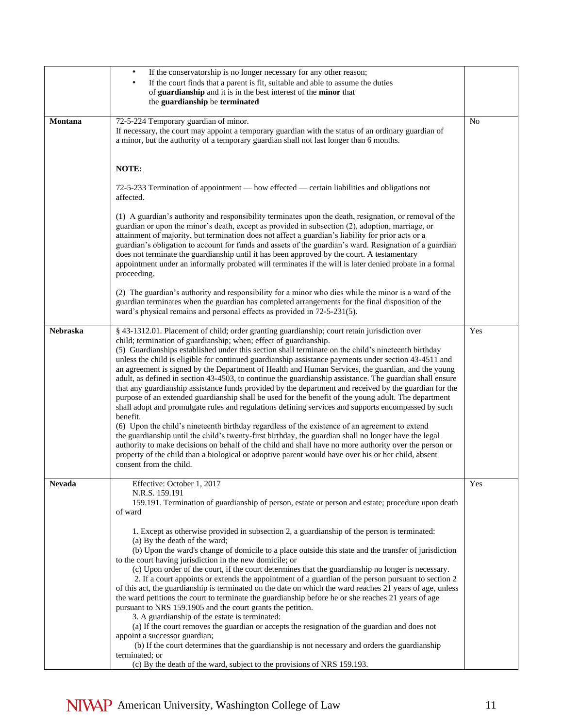|                 | $\bullet$<br>If the conservatorship is no longer necessary for any other reason;<br>If the court finds that a parent is fit, suitable and able to assume the duties<br>of guardianship and it is in the best interest of the minor that<br>the guardianship be terminated                                                                                                                                                                                                                                                                                                                                                                                                                                                                                                                                                                                                                                                                                                                                                                                                                                                                                                                                                                                                                                                                                                                        |           |
|-----------------|--------------------------------------------------------------------------------------------------------------------------------------------------------------------------------------------------------------------------------------------------------------------------------------------------------------------------------------------------------------------------------------------------------------------------------------------------------------------------------------------------------------------------------------------------------------------------------------------------------------------------------------------------------------------------------------------------------------------------------------------------------------------------------------------------------------------------------------------------------------------------------------------------------------------------------------------------------------------------------------------------------------------------------------------------------------------------------------------------------------------------------------------------------------------------------------------------------------------------------------------------------------------------------------------------------------------------------------------------------------------------------------------------|-----------|
| Montana         | 72-5-224 Temporary guardian of minor.<br>If necessary, the court may appoint a temporary guardian with the status of an ordinary guardian of<br>a minor, but the authority of a temporary guardian shall not last longer than 6 months.                                                                                                                                                                                                                                                                                                                                                                                                                                                                                                                                                                                                                                                                                                                                                                                                                                                                                                                                                                                                                                                                                                                                                          | <b>No</b> |
|                 | NOTE:                                                                                                                                                                                                                                                                                                                                                                                                                                                                                                                                                                                                                                                                                                                                                                                                                                                                                                                                                                                                                                                                                                                                                                                                                                                                                                                                                                                            |           |
|                 | 72-5-233 Termination of appointment — how effected — certain liabilities and obligations not<br>affected.                                                                                                                                                                                                                                                                                                                                                                                                                                                                                                                                                                                                                                                                                                                                                                                                                                                                                                                                                                                                                                                                                                                                                                                                                                                                                        |           |
|                 | (1) A guardian's authority and responsibility terminates upon the death, resignation, or removal of the<br>guardian or upon the minor's death, except as provided in subsection (2), adoption, marriage, or<br>attainment of majority, but termination does not affect a guardian's liability for prior acts or a<br>guardian's obligation to account for funds and assets of the guardian's ward. Resignation of a guardian<br>does not terminate the guardianship until it has been approved by the court. A testamentary<br>appointment under an informally probated will terminates if the will is later denied probate in a formal<br>proceeding.                                                                                                                                                                                                                                                                                                                                                                                                                                                                                                                                                                                                                                                                                                                                           |           |
|                 | (2) The guardian's authority and responsibility for a minor who dies while the minor is a ward of the<br>guardian terminates when the guardian has completed arrangements for the final disposition of the<br>ward's physical remains and personal effects as provided in 72-5-231(5).                                                                                                                                                                                                                                                                                                                                                                                                                                                                                                                                                                                                                                                                                                                                                                                                                                                                                                                                                                                                                                                                                                           |           |
| <b>Nebraska</b> | § 43-1312.01. Placement of child; order granting guardianship; court retain jurisdiction over<br>child; termination of guardianship; when; effect of guardianship.<br>(5) Guardianships established under this section shall terminate on the child's nineteenth birthday<br>unless the child is eligible for continued guardianship assistance payments under section 43-4511 and<br>an agreement is signed by the Department of Health and Human Services, the guardian, and the young<br>adult, as defined in section 43-4503, to continue the guardianship assistance. The guardian shall ensure<br>that any guardianship assistance funds provided by the department and received by the guardian for the<br>purpose of an extended guardianship shall be used for the benefit of the young adult. The department<br>shall adopt and promulgate rules and regulations defining services and supports encompassed by such<br>benefit.<br>(6) Upon the child's nineteenth birthday regardless of the existence of an agreement to extend<br>the guardianship until the child's twenty-first birthday, the guardian shall no longer have the legal<br>authority to make decisions on behalf of the child and shall have no more authority over the person or<br>property of the child than a biological or adoptive parent would have over his or her child, absent<br>consent from the child. | Yes       |
| <b>Nevada</b>   | Effective: October 1, 2017<br>N.R.S. 159.191<br>159.191. Termination of guardianship of person, estate or person and estate; procedure upon death<br>of ward                                                                                                                                                                                                                                                                                                                                                                                                                                                                                                                                                                                                                                                                                                                                                                                                                                                                                                                                                                                                                                                                                                                                                                                                                                     | Yes       |
|                 | 1. Except as otherwise provided in subsection 2, a guardianship of the person is terminated:<br>(a) By the death of the ward;<br>(b) Upon the ward's change of domicile to a place outside this state and the transfer of jurisdiction<br>to the court having jurisdiction in the new domicile; or<br>(c) Upon order of the court, if the court determines that the guardianship no longer is necessary.<br>2. If a court appoints or extends the appointment of a guardian of the person pursuant to section 2<br>of this act, the guardianship is terminated on the date on which the ward reaches 21 years of age, unless<br>the ward petitions the court to terminate the guardianship before he or she reaches 21 years of age<br>pursuant to NRS 159.1905 and the court grants the petition.<br>3. A guardianship of the estate is terminated:<br>(a) If the court removes the guardian or accepts the resignation of the guardian and does not<br>appoint a successor guardian;<br>(b) If the court determines that the guardianship is not necessary and orders the guardianship<br>terminated; or<br>(c) By the death of the ward, subject to the provisions of NRS 159.193.                                                                                                                                                                                                            |           |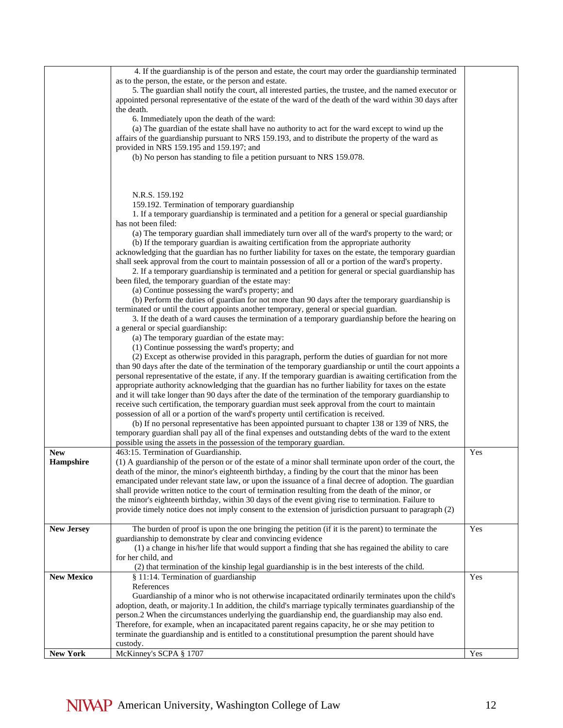| <b>New York</b>   | McKinney's SCPA § 1707                                                                                                                                                                                                                                                                                               | Yes |
|-------------------|----------------------------------------------------------------------------------------------------------------------------------------------------------------------------------------------------------------------------------------------------------------------------------------------------------------------|-----|
|                   | person.2 When the circumstances underlying the guardianship end, the guardianship may also end.<br>Therefore, for example, when an incapacitated parent regains capacity, he or she may petition to<br>terminate the guardianship and is entitled to a constitutional presumption the parent should have<br>custody. |     |
|                   | References<br>Guardianship of a minor who is not otherwise incapacitated ordinarily terminates upon the child's<br>adoption, death, or majority.1 In addition, the child's marriage typically terminates guardianship of the                                                                                         |     |
| <b>New Mexico</b> | § 11:14. Termination of guardianship                                                                                                                                                                                                                                                                                 | Yes |
|                   | (2) that termination of the kinship legal guardianship is in the best interests of the child.                                                                                                                                                                                                                        |     |
|                   | for her child, and                                                                                                                                                                                                                                                                                                   |     |
|                   | guardianship to demonstrate by clear and convincing evidence<br>(1) a change in his/her life that would support a finding that she has regained the ability to care                                                                                                                                                  |     |
| <b>New Jersey</b> | The burden of proof is upon the one bringing the petition (if it is the parent) to terminate the                                                                                                                                                                                                                     | Yes |
|                   | provide timely notice does not imply consent to the extension of jurisdiction pursuant to paragraph (2)                                                                                                                                                                                                              |     |
|                   | the minor's eighteenth birthday, within 30 days of the event giving rise to termination. Failure to                                                                                                                                                                                                                  |     |
|                   | shall provide written notice to the court of termination resulting from the death of the minor, or                                                                                                                                                                                                                   |     |
|                   | emancipated under relevant state law, or upon the issuance of a final decree of adoption. The guardian                                                                                                                                                                                                               |     |
| Hampshire         | (1) A guardianship of the person or of the estate of a minor shall terminate upon order of the court, the<br>death of the minor, the minor's eighteenth birthday, a finding by the court that the minor has been                                                                                                     |     |
| <b>New</b>        | 463:15. Termination of Guardianship.                                                                                                                                                                                                                                                                                 | Yes |
|                   | possible using the assets in the possession of the temporary guardian.                                                                                                                                                                                                                                               |     |
|                   | temporary guardian shall pay all of the final expenses and outstanding debts of the ward to the extent                                                                                                                                                                                                               |     |
|                   | possession of all or a portion of the ward's property until certification is received.<br>(b) If no personal representative has been appointed pursuant to chapter 138 or 139 of NRS, the                                                                                                                            |     |
|                   | receive such certification, the temporary guardian must seek approval from the court to maintain                                                                                                                                                                                                                     |     |
|                   | and it will take longer than 90 days after the date of the termination of the temporary guardianship to                                                                                                                                                                                                              |     |
|                   | appropriate authority acknowledging that the guardian has no further liability for taxes on the estate                                                                                                                                                                                                               |     |
|                   | than 90 days after the date of the termination of the temporary guardianship or until the court appoints a<br>personal representative of the estate, if any. If the temporary guardian is awaiting certification from the                                                                                            |     |
|                   | (2) Except as otherwise provided in this paragraph, perform the duties of guardian for not more                                                                                                                                                                                                                      |     |
|                   | (1) Continue possessing the ward's property; and                                                                                                                                                                                                                                                                     |     |
|                   | (a) The temporary guardian of the estate may:                                                                                                                                                                                                                                                                        |     |
|                   | 3. If the death of a ward causes the termination of a temporary guardianship before the hearing on<br>a general or special guardianship:                                                                                                                                                                             |     |
|                   | terminated or until the court appoints another temporary, general or special guardian.                                                                                                                                                                                                                               |     |
|                   | (b) Perform the duties of guardian for not more than 90 days after the temporary guardianship is                                                                                                                                                                                                                     |     |
|                   | (a) Continue possessing the ward's property; and                                                                                                                                                                                                                                                                     |     |
|                   | 2. If a temporary guardianship is terminated and a petition for general or special guardianship has<br>been filed, the temporary guardian of the estate may:                                                                                                                                                         |     |
|                   | shall seek approval from the court to maintain possession of all or a portion of the ward's property.                                                                                                                                                                                                                |     |
|                   | acknowledging that the guardian has no further liability for taxes on the estate, the temporary guardian                                                                                                                                                                                                             |     |
|                   | (b) If the temporary guardian is awaiting certification from the appropriate authority                                                                                                                                                                                                                               |     |
|                   | has not been filed:<br>(a) The temporary guardian shall immediately turn over all of the ward's property to the ward; or                                                                                                                                                                                             |     |
|                   | 1. If a temporary guardianship is terminated and a petition for a general or special guardianship                                                                                                                                                                                                                    |     |
|                   | 159.192. Termination of temporary guardianship                                                                                                                                                                                                                                                                       |     |
|                   | N.R.S. 159.192                                                                                                                                                                                                                                                                                                       |     |
|                   |                                                                                                                                                                                                                                                                                                                      |     |
|                   |                                                                                                                                                                                                                                                                                                                      |     |
|                   | provided in NRS 159.195 and 159.197; and<br>(b) No person has standing to file a petition pursuant to NRS 159.078.                                                                                                                                                                                                   |     |
|                   | affairs of the guardianship pursuant to NRS 159.193, and to distribute the property of the ward as                                                                                                                                                                                                                   |     |
|                   | (a) The guardian of the estate shall have no authority to act for the ward except to wind up the                                                                                                                                                                                                                     |     |
|                   | 6. Immediately upon the death of the ward:                                                                                                                                                                                                                                                                           |     |
|                   | appointed personal representative of the estate of the ward of the death of the ward within 30 days after<br>the death.                                                                                                                                                                                              |     |
|                   | 5. The guardian shall notify the court, all interested parties, the trustee, and the named executor or                                                                                                                                                                                                               |     |
|                   | as to the person, the estate, or the person and estate.                                                                                                                                                                                                                                                              |     |
|                   | 4. If the guardianship is of the person and estate, the court may order the guardianship terminated                                                                                                                                                                                                                  |     |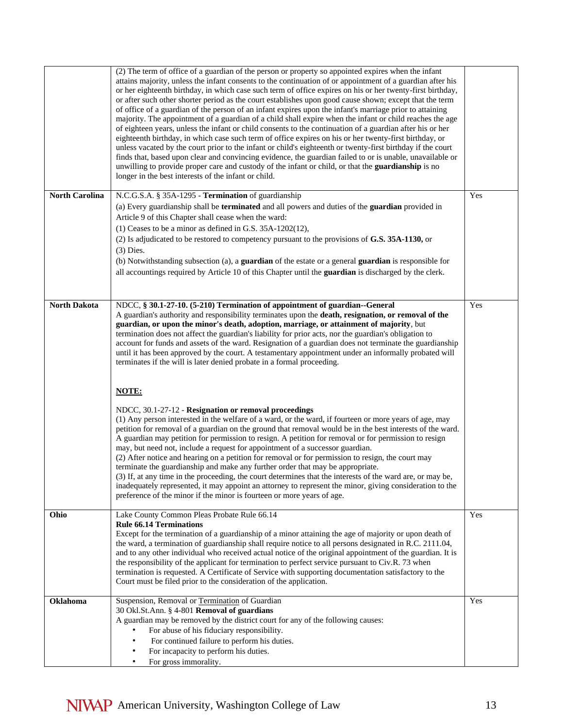|                       | (2) The term of office of a guardian of the person or property so appointed expires when the infant<br>attains majority, unless the infant consents to the continuation of or appointment of a guardian after his<br>or her eighteenth birthday, in which case such term of office expires on his or her twenty-first birthday,<br>or after such other shorter period as the court establishes upon good cause shown; except that the term<br>of office of a guardian of the person of an infant expires upon the infant's marriage prior to attaining<br>majority. The appointment of a guardian of a child shall expire when the infant or child reaches the age<br>of eighteen years, unless the infant or child consents to the continuation of a guardian after his or her<br>eighteenth birthday, in which case such term of office expires on his or her twenty-first birthday, or<br>unless vacated by the court prior to the infant or child's eighteenth or twenty-first birthday if the court<br>finds that, based upon clear and convincing evidence, the guardian failed to or is unable, unavailable or<br>unwilling to provide proper care and custody of the infant or child, or that the guardianship is no<br>longer in the best interests of the infant or child. |     |
|-----------------------|--------------------------------------------------------------------------------------------------------------------------------------------------------------------------------------------------------------------------------------------------------------------------------------------------------------------------------------------------------------------------------------------------------------------------------------------------------------------------------------------------------------------------------------------------------------------------------------------------------------------------------------------------------------------------------------------------------------------------------------------------------------------------------------------------------------------------------------------------------------------------------------------------------------------------------------------------------------------------------------------------------------------------------------------------------------------------------------------------------------------------------------------------------------------------------------------------------------------------------------------------------------------------------------|-----|
| <b>North Carolina</b> | N.C.G.S.A. § 35A-1295 - Termination of guardianship                                                                                                                                                                                                                                                                                                                                                                                                                                                                                                                                                                                                                                                                                                                                                                                                                                                                                                                                                                                                                                                                                                                                                                                                                                  | Yes |
|                       | (a) Every guardianship shall be <b>terminated</b> and all powers and duties of the <b>guardian</b> provided in                                                                                                                                                                                                                                                                                                                                                                                                                                                                                                                                                                                                                                                                                                                                                                                                                                                                                                                                                                                                                                                                                                                                                                       |     |
|                       | Article 9 of this Chapter shall cease when the ward:                                                                                                                                                                                                                                                                                                                                                                                                                                                                                                                                                                                                                                                                                                                                                                                                                                                                                                                                                                                                                                                                                                                                                                                                                                 |     |
|                       | (1) Ceases to be a minor as defined in G.S. $35A-1202(12)$ ,                                                                                                                                                                                                                                                                                                                                                                                                                                                                                                                                                                                                                                                                                                                                                                                                                                                                                                                                                                                                                                                                                                                                                                                                                         |     |
|                       | (2) Is adjudicated to be restored to competency pursuant to the provisions of G.S. 35A-1130, or<br>$(3)$ Dies.                                                                                                                                                                                                                                                                                                                                                                                                                                                                                                                                                                                                                                                                                                                                                                                                                                                                                                                                                                                                                                                                                                                                                                       |     |
|                       | (b) Notwithstanding subsection (a), a guardian of the estate or a general guardian is responsible for                                                                                                                                                                                                                                                                                                                                                                                                                                                                                                                                                                                                                                                                                                                                                                                                                                                                                                                                                                                                                                                                                                                                                                                |     |
|                       | all accountings required by Article 10 of this Chapter until the guardian is discharged by the clerk.                                                                                                                                                                                                                                                                                                                                                                                                                                                                                                                                                                                                                                                                                                                                                                                                                                                                                                                                                                                                                                                                                                                                                                                |     |
|                       |                                                                                                                                                                                                                                                                                                                                                                                                                                                                                                                                                                                                                                                                                                                                                                                                                                                                                                                                                                                                                                                                                                                                                                                                                                                                                      |     |
|                       |                                                                                                                                                                                                                                                                                                                                                                                                                                                                                                                                                                                                                                                                                                                                                                                                                                                                                                                                                                                                                                                                                                                                                                                                                                                                                      |     |
| <b>North Dakota</b>   | NDCC, § 30.1-27-10. (5-210) Termination of appointment of guardian--General<br>A guardian's authority and responsibility terminates upon the death, resignation, or removal of the<br>guardian, or upon the minor's death, adoption, marriage, or attainment of majority, but<br>termination does not affect the guardian's liability for prior acts, nor the guardian's obligation to<br>account for funds and assets of the ward. Resignation of a guardian does not terminate the guardianship<br>until it has been approved by the court. A testamentary appointment under an informally probated will<br>terminates if the will is later denied probate in a formal proceeding.                                                                                                                                                                                                                                                                                                                                                                                                                                                                                                                                                                                                 | Yes |
|                       | <b>NOTE:</b>                                                                                                                                                                                                                                                                                                                                                                                                                                                                                                                                                                                                                                                                                                                                                                                                                                                                                                                                                                                                                                                                                                                                                                                                                                                                         |     |
|                       | NDCC, 30.1-27-12 - Resignation or removal proceedings<br>(1) Any person interested in the welfare of a ward, or the ward, if fourteen or more years of age, may<br>petition for removal of a guardian on the ground that removal would be in the best interests of the ward.<br>A guardian may petition for permission to resign. A petition for removal or for permission to resign<br>may, but need not, include a request for appointment of a successor guardian.<br>(2) After notice and hearing on a petition for removal or for permission to resign, the court may<br>terminate the guardianship and make any further order that may be appropriate.<br>(3) If, at any time in the proceeding, the court determines that the interests of the ward are, or may be,<br>inadequately represented, it may appoint an attorney to represent the minor, giving consideration to the<br>preference of the minor if the minor is fourteen or more years of age.                                                                                                                                                                                                                                                                                                                     |     |
| Ohio                  | Lake County Common Pleas Probate Rule 66.14                                                                                                                                                                                                                                                                                                                                                                                                                                                                                                                                                                                                                                                                                                                                                                                                                                                                                                                                                                                                                                                                                                                                                                                                                                          | Yes |
|                       | <b>Rule 66.14 Terminations</b><br>Except for the termination of a guardianship of a minor attaining the age of majority or upon death of<br>the ward, a termination of guardianship shall require notice to all persons designated in R.C. 2111.04,<br>and to any other individual who received actual notice of the original appointment of the guardian. It is<br>the responsibility of the applicant for termination to perfect service pursuant to Civ.R. 73 when<br>termination is requested. A Certificate of Service with supporting documentation satisfactory to the<br>Court must be filed prior to the consideration of the application.                                                                                                                                                                                                                                                                                                                                                                                                                                                                                                                                                                                                                                  |     |
| <b>Oklahoma</b>       | Suspension, Removal or Termination of Guardian                                                                                                                                                                                                                                                                                                                                                                                                                                                                                                                                                                                                                                                                                                                                                                                                                                                                                                                                                                                                                                                                                                                                                                                                                                       | Yes |
|                       | 30 Okl.St.Ann. § 4-801 Removal of guardians                                                                                                                                                                                                                                                                                                                                                                                                                                                                                                                                                                                                                                                                                                                                                                                                                                                                                                                                                                                                                                                                                                                                                                                                                                          |     |
|                       | A guardian may be removed by the district court for any of the following causes:                                                                                                                                                                                                                                                                                                                                                                                                                                                                                                                                                                                                                                                                                                                                                                                                                                                                                                                                                                                                                                                                                                                                                                                                     |     |
|                       | For abuse of his fiduciary responsibility.                                                                                                                                                                                                                                                                                                                                                                                                                                                                                                                                                                                                                                                                                                                                                                                                                                                                                                                                                                                                                                                                                                                                                                                                                                           |     |
|                       | For continued failure to perform his duties.                                                                                                                                                                                                                                                                                                                                                                                                                                                                                                                                                                                                                                                                                                                                                                                                                                                                                                                                                                                                                                                                                                                                                                                                                                         |     |
|                       | For incapacity to perform his duties.<br>For gross immorality.                                                                                                                                                                                                                                                                                                                                                                                                                                                                                                                                                                                                                                                                                                                                                                                                                                                                                                                                                                                                                                                                                                                                                                                                                       |     |
|                       |                                                                                                                                                                                                                                                                                                                                                                                                                                                                                                                                                                                                                                                                                                                                                                                                                                                                                                                                                                                                                                                                                                                                                                                                                                                                                      |     |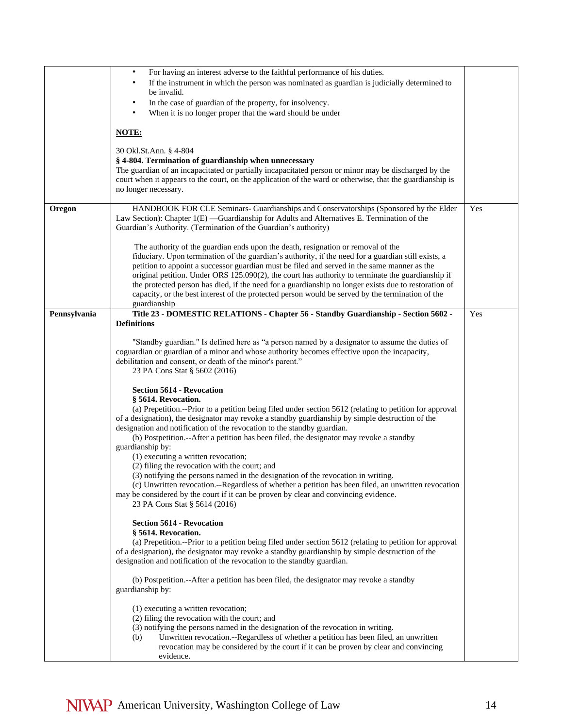|              | For having an interest adverse to the faithful performance of his duties.<br>$\bullet$                                                                                                                      |     |
|--------------|-------------------------------------------------------------------------------------------------------------------------------------------------------------------------------------------------------------|-----|
|              | If the instrument in which the person was nominated as guardian is judicially determined to                                                                                                                 |     |
|              | be invalid.                                                                                                                                                                                                 |     |
|              | In the case of guardian of the property, for insolvency.<br>$\bullet$                                                                                                                                       |     |
|              | When it is no longer proper that the ward should be under<br>$\bullet$                                                                                                                                      |     |
|              | <b>NOTE:</b>                                                                                                                                                                                                |     |
|              |                                                                                                                                                                                                             |     |
|              | 30 Okl.St.Ann. § 4-804                                                                                                                                                                                      |     |
|              | § 4-804. Termination of guardianship when unnecessary                                                                                                                                                       |     |
|              | The guardian of an incapacitated or partially incapacitated person or minor may be discharged by the                                                                                                        |     |
|              | court when it appears to the court, on the application of the ward or otherwise, that the guardianship is<br>no longer necessary.                                                                           |     |
|              |                                                                                                                                                                                                             |     |
| Oregon       | HANDBOOK FOR CLE Seminars- Guardianships and Conservatorships (Sponsored by the Elder                                                                                                                       | Yes |
|              | Law Section): Chapter 1(E) —Guardianship for Adults and Alternatives E. Termination of the                                                                                                                  |     |
|              | Guardian's Authority. (Termination of the Guardian's authority)                                                                                                                                             |     |
|              | The authority of the guardian ends upon the death, resignation or removal of the                                                                                                                            |     |
|              | fiduciary. Upon termination of the guardian's authority, if the need for a guardian still exists, a                                                                                                         |     |
|              | petition to appoint a successor guardian must be filed and served in the same manner as the                                                                                                                 |     |
|              | original petition. Under ORS 125.090(2), the court has authority to terminate the guardianship if                                                                                                           |     |
|              | the protected person has died, if the need for a guardianship no longer exists due to restoration of                                                                                                        |     |
|              | capacity, or the best interest of the protected person would be served by the termination of the<br>guardianship                                                                                            |     |
| Pennsylvania | Title 23 - DOMESTIC RELATIONS - Chapter 56 - Standby Guardianship - Section 5602 -                                                                                                                          | Yes |
|              | <b>Definitions</b>                                                                                                                                                                                          |     |
|              |                                                                                                                                                                                                             |     |
|              | "Standby guardian." Is defined here as "a person named by a designator to assume the duties of                                                                                                              |     |
|              | coguardian or guardian of a minor and whose authority becomes effective upon the incapacity,<br>debilitation and consent, or death of the minor's parent."                                                  |     |
|              | 23 PA Cons Stat § 5602 (2016)                                                                                                                                                                               |     |
|              |                                                                                                                                                                                                             |     |
|              | <b>Section 5614 - Revocation</b>                                                                                                                                                                            |     |
|              | § 5614. Revocation.                                                                                                                                                                                         |     |
|              | (a) Prepetition.--Prior to a petition being filed under section 5612 (relating to petition for approval<br>of a designation), the designator may revoke a standby guardianship by simple destruction of the |     |
|              | designation and notification of the revocation to the standby guardian.                                                                                                                                     |     |
|              | (b) Postpetition.--After a petition has been filed, the designator may revoke a standby                                                                                                                     |     |
|              | guardianship by:                                                                                                                                                                                            |     |
|              | (1) executing a written revocation;                                                                                                                                                                         |     |
|              | (2) filing the revocation with the court; and<br>(3) notifying the persons named in the designation of the revocation in writing.                                                                           |     |
|              | (c) Unwritten revocation.--Regardless of whether a petition has been filed, an unwritten revocation                                                                                                         |     |
|              | may be considered by the court if it can be proven by clear and convincing evidence.                                                                                                                        |     |
|              | 23 PA Cons Stat § 5614 (2016)                                                                                                                                                                               |     |
|              | <b>Section 5614 - Revocation</b>                                                                                                                                                                            |     |
|              | § 5614. Revocation.                                                                                                                                                                                         |     |
|              | (a) Prepetition.--Prior to a petition being filed under section 5612 (relating to petition for approval                                                                                                     |     |
|              | of a designation), the designator may revoke a standby guardianship by simple destruction of the                                                                                                            |     |
|              | designation and notification of the revocation to the standby guardian.                                                                                                                                     |     |
|              | (b) Postpetition.--After a petition has been filed, the designator may revoke a standby                                                                                                                     |     |
|              | guardianship by:                                                                                                                                                                                            |     |
|              |                                                                                                                                                                                                             |     |
|              | (1) executing a written revocation;                                                                                                                                                                         |     |
|              | (2) filing the revocation with the court; and                                                                                                                                                               |     |
|              | (3) notifying the persons named in the designation of the revocation in writing.<br>Unwritten revocation.--Regardless of whether a petition has been filed, an unwritten<br>(b)                             |     |
|              | revocation may be considered by the court if it can be proven by clear and convincing                                                                                                                       |     |
|              | evidence.                                                                                                                                                                                                   |     |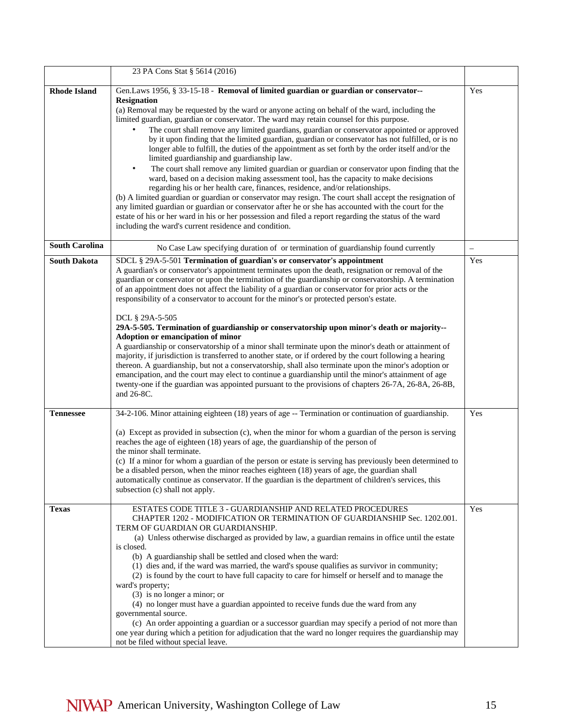|                       | 23 PA Cons Stat § 5614 (2016)                                                                                                                                                                                                                                                                                                                                                                                                                                                                                                                                                                                                                                                                                                                                                                                                                                                                                                                                                                                                                                                                                                                                                                                                                      |     |
|-----------------------|----------------------------------------------------------------------------------------------------------------------------------------------------------------------------------------------------------------------------------------------------------------------------------------------------------------------------------------------------------------------------------------------------------------------------------------------------------------------------------------------------------------------------------------------------------------------------------------------------------------------------------------------------------------------------------------------------------------------------------------------------------------------------------------------------------------------------------------------------------------------------------------------------------------------------------------------------------------------------------------------------------------------------------------------------------------------------------------------------------------------------------------------------------------------------------------------------------------------------------------------------|-----|
| <b>Rhode Island</b>   | Gen.Laws 1956, § 33-15-18 - Removal of limited guardian or guardian or conservator--                                                                                                                                                                                                                                                                                                                                                                                                                                                                                                                                                                                                                                                                                                                                                                                                                                                                                                                                                                                                                                                                                                                                                               | Yes |
|                       | <b>Resignation</b><br>(a) Removal may be requested by the ward or anyone acting on behalf of the ward, including the<br>limited guardian, guardian or conservator. The ward may retain counsel for this purpose.<br>The court shall remove any limited guardians, guardian or conservator appointed or approved<br>by it upon finding that the limited guardian, guardian or conservator has not fulfilled, or is no<br>longer able to fulfill, the duties of the appointment as set forth by the order itself and/or the<br>limited guardianship and guardianship law.<br>The court shall remove any limited guardian or guardian or conservator upon finding that the<br>$\bullet$<br>ward, based on a decision making assessment tool, has the capacity to make decisions<br>regarding his or her health care, finances, residence, and/or relationships.<br>(b) A limited guardian or guardian or conservator may resign. The court shall accept the resignation of<br>any limited guardian or guardian or conservator after he or she has accounted with the court for the<br>estate of his or her ward in his or her possession and filed a report regarding the status of the ward<br>including the ward's current residence and condition. |     |
| <b>South Carolina</b> | No Case Law specifying duration of or termination of guardianship found currently                                                                                                                                                                                                                                                                                                                                                                                                                                                                                                                                                                                                                                                                                                                                                                                                                                                                                                                                                                                                                                                                                                                                                                  |     |
| <b>South Dakota</b>   | SDCL § 29A-5-501 Termination of guardian's or conservator's appointment<br>A guardian's or conservator's appointment terminates upon the death, resignation or removal of the<br>guardian or conservator or upon the termination of the guardianship or conservatorship. A termination<br>of an appointment does not affect the liability of a guardian or conservator for prior acts or the<br>responsibility of a conservator to account for the minor's or protected person's estate.<br>DCL § 29A-5-505<br>29A-5-505. Termination of guardianship or conservatorship upon minor's death or majority--<br>Adoption or emancipation of minor<br>A guardianship or conservatorship of a minor shall terminate upon the minor's death or attainment of<br>majority, if jurisdiction is transferred to another state, or if ordered by the court following a hearing<br>thereon. A guardianship, but not a conservatorship, shall also terminate upon the minor's adoption or<br>emancipation, and the court may elect to continue a guardianship until the minor's attainment of age<br>twenty-one if the guardian was appointed pursuant to the provisions of chapters 26-7A, 26-8A, 26-8B,<br>and $26-8C$ .                                      | Yes |
| <b>Tennessee</b>      | 34-2-106. Minor attaining eighteen (18) years of age -- Termination or continuation of guardianship.<br>(a) Except as provided in subsection (c), when the minor for whom a guardian of the person is serving<br>reaches the age of eighteen (18) years of age, the guardianship of the person of<br>the minor shall terminate.<br>(c) If a minor for whom a guardian of the person or estate is serving has previously been determined to<br>be a disabled person, when the minor reaches eighteen (18) years of age, the guardian shall<br>automatically continue as conservator. If the guardian is the department of children's services, this<br>subsection (c) shall not apply.                                                                                                                                                                                                                                                                                                                                                                                                                                                                                                                                                              | Yes |
| <b>Texas</b>          | ESTATES CODE TITLE 3 - GUARDIANSHIP AND RELATED PROCEDURES<br>CHAPTER 1202 - MODIFICATION OR TERMINATION OF GUARDIANSHIP Sec. 1202.001.<br>TERM OF GUARDIAN OR GUARDIANSHIP.<br>(a) Unless otherwise discharged as provided by law, a guardian remains in office until the estate<br>is closed.<br>(b) A guardianship shall be settled and closed when the ward:<br>(1) dies and, if the ward was married, the ward's spouse qualifies as survivor in community;<br>(2) is found by the court to have full capacity to care for himself or herself and to manage the<br>ward's property;<br>$(3)$ is no longer a minor; or<br>(4) no longer must have a guardian appointed to receive funds due the ward from any<br>governmental source.<br>(c) An order appointing a guardian or a successor guardian may specify a period of not more than<br>one year during which a petition for adjudication that the ward no longer requires the guardianship may<br>not be filed without special leave.                                                                                                                                                                                                                                                    | Yes |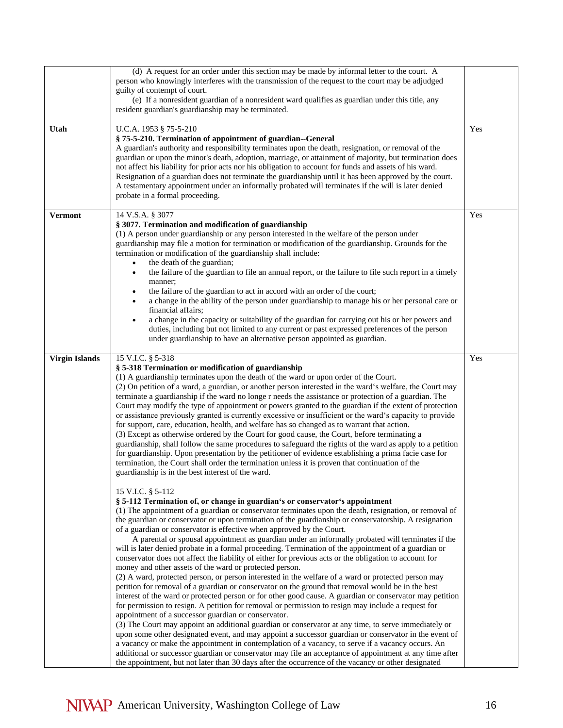|                       | (d) A request for an order under this section may be made by informal letter to the court. A<br>person who knowingly interferes with the transmission of the request to the court may be adjudged<br>guilty of contempt of court.<br>(e) If a nonresident guardian of a nonresident ward qualifies as guardian under this title, any<br>resident guardian's guardianship may be terminated.                                                                                                                                                                                                                                                                                                                                                                                                                                                                                                                                                                                                                                                                                                                                                                                                                                                                                                                                                                                                                                                                                                                                                                                                                                                                                                             |     |
|-----------------------|---------------------------------------------------------------------------------------------------------------------------------------------------------------------------------------------------------------------------------------------------------------------------------------------------------------------------------------------------------------------------------------------------------------------------------------------------------------------------------------------------------------------------------------------------------------------------------------------------------------------------------------------------------------------------------------------------------------------------------------------------------------------------------------------------------------------------------------------------------------------------------------------------------------------------------------------------------------------------------------------------------------------------------------------------------------------------------------------------------------------------------------------------------------------------------------------------------------------------------------------------------------------------------------------------------------------------------------------------------------------------------------------------------------------------------------------------------------------------------------------------------------------------------------------------------------------------------------------------------------------------------------------------------------------------------------------------------|-----|
| Utah                  | U.C.A. 1953 § 75-5-210<br>§ 75-5-210. Termination of appointment of guardian--General<br>A guardian's authority and responsibility terminates upon the death, resignation, or removal of the<br>guardian or upon the minor's death, adoption, marriage, or attainment of majority, but termination does<br>not affect his liability for prior acts nor his obligation to account for funds and assets of his ward.<br>Resignation of a guardian does not terminate the guardianship until it has been approved by the court.<br>A testamentary appointment under an informally probated will terminates if the will is later denied<br>probate in a formal proceeding.                                                                                                                                                                                                                                                                                                                                                                                                                                                                                                                                                                                                                                                                                                                                                                                                                                                                                                                                                                                                                                  | Yes |
| <b>Vermont</b>        | 14 V.S.A. § 3077<br>§ 3077. Termination and modification of guardianship<br>(1) A person under guardianship or any person interested in the welfare of the person under<br>guardianship may file a motion for termination or modification of the guardianship. Grounds for the<br>termination or modification of the guardianship shall include:<br>the death of the guardian;<br>$\bullet$<br>the failure of the guardian to file an annual report, or the failure to file such report in a timely<br>$\bullet$<br>manner;<br>the failure of the guardian to act in accord with an order of the court;<br>$\bullet$<br>a change in the ability of the person under guardianship to manage his or her personal care or<br>financial affairs;<br>a change in the capacity or suitability of the guardian for carrying out his or her powers and<br>$\bullet$<br>duties, including but not limited to any current or past expressed preferences of the person<br>under guardianship to have an alternative person appointed as guardian.                                                                                                                                                                                                                                                                                                                                                                                                                                                                                                                                                                                                                                                                  | Yes |
| <b>Virgin Islands</b> | 15 V.I.C. § 5-318<br>§ 5-318 Termination or modification of guardianship<br>(1) A guardianship terminates upon the death of the ward or upon order of the Court.<br>(2) On petition of a ward, a guardian, or another person interested in the ward's welfare, the Court may<br>terminate a guardianship if the ward no longe r needs the assistance or protection of a guardian. The<br>Court may modify the type of appointment or powers granted to the guardian if the extent of protection<br>or assistance previously granted is currently excessive or insufficient or the ward's capacity to provide<br>for support, care, education, health, and welfare has so changed as to warrant that action.<br>(3) Except as otherwise ordered by the Court for good cause, the Court, before terminating a<br>guardianship, shall follow the same procedures to safeguard the rights of the ward as apply to a petition<br>for guardianship. Upon presentation by the petitioner of evidence establishing a prima facie case for<br>termination, the Court shall order the termination unless it is proven that continuation of the<br>guardianship is in the best interest of the ward.<br>15 V.I.C. § 5-112<br>§ 5-112 Termination of, or change in guardian's or conservator's appointment                                                                                                                                                                                                                                                                                                                                                                                                          | Yes |
|                       | (1) The appointment of a guardian or conservator terminates upon the death, resignation, or removal of<br>the guardian or conservator or upon termination of the guardianship or conservatorship. A resignation<br>of a guardian or conservator is effective when approved by the Court.<br>A parental or spousal appointment as guardian under an informally probated will terminates if the<br>will is later denied probate in a formal proceeding. Termination of the appointment of a guardian or<br>conservator does not affect the liability of either for previous acts or the obligation to account for<br>money and other assets of the ward or protected person.<br>(2) A ward, protected person, or person interested in the welfare of a ward or protected person may<br>petition for removal of a guardian or conservator on the ground that removal would be in the best<br>interest of the ward or protected person or for other good cause. A guardian or conservator may petition<br>for permission to resign. A petition for removal or permission to resign may include a request for<br>appointment of a successor guardian or conservator.<br>(3) The Court may appoint an additional guardian or conservator at any time, to serve immediately or<br>upon some other designated event, and may appoint a successor guardian or conservator in the event of<br>a vacancy or make the appointment in contemplation of a vacancy, to serve if a vacancy occurs. An<br>additional or successor guardian or conservator may file an acceptance of appointment at any time after<br>the appointment, but not later than 30 days after the occurrence of the vacancy or other designated |     |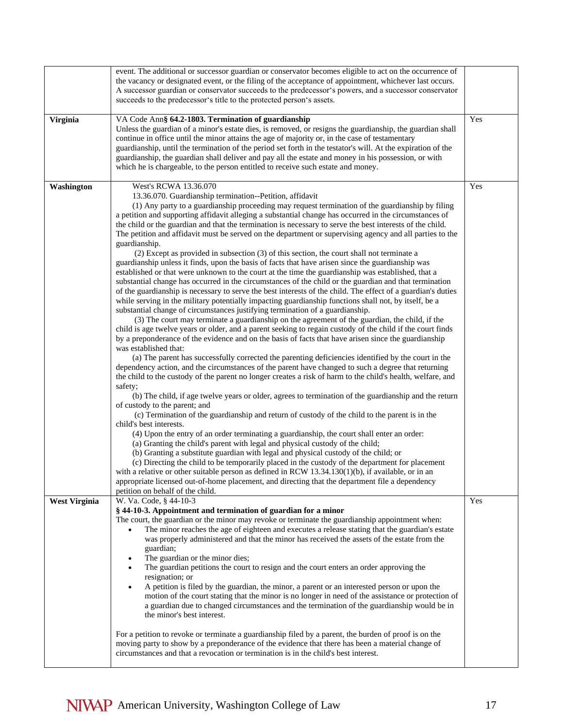|                      | event. The additional or successor guardian or conservator becomes eligible to act on the occurrence of          |     |
|----------------------|------------------------------------------------------------------------------------------------------------------|-----|
|                      | the vacancy or designated event, or the filing of the acceptance of appointment, whichever last occurs.          |     |
|                      | A successor guardian or conservator succeeds to the predecessor's powers, and a successor conservator            |     |
|                      | succeeds to the predecessor's title to the protected person's assets.                                            |     |
|                      |                                                                                                                  |     |
| Virginia             | VA Code Ann§ 64.2-1803. Termination of guardianship                                                              | Yes |
|                      | Unless the guardian of a minor's estate dies, is removed, or resigns the guardianship, the guardian shall        |     |
|                      | continue in office until the minor attains the age of majority or, in the case of testamentary                   |     |
|                      | guardianship, until the termination of the period set forth in the testator's will. At the expiration of the     |     |
|                      | guardianship, the guardian shall deliver and pay all the estate and money in his possession, or with             |     |
|                      | which he is chargeable, to the person entitled to receive such estate and money.                                 |     |
| Washington           | West's RCWA 13.36.070                                                                                            | Yes |
|                      | 13.36.070. Guardianship termination--Petition, affidavit                                                         |     |
|                      | (1) Any party to a guardianship proceeding may request termination of the guardianship by filing                 |     |
|                      | a petition and supporting affidavit alleging a substantial change has occurred in the circumstances of           |     |
|                      | the child or the guardian and that the termination is necessary to serve the best interests of the child.        |     |
|                      | The petition and affidavit must be served on the department or supervising agency and all parties to the         |     |
|                      | guardianship.                                                                                                    |     |
|                      | (2) Except as provided in subsection (3) of this section, the court shall not terminate a                        |     |
|                      | guardianship unless it finds, upon the basis of facts that have arisen since the guardianship was                |     |
|                      | established or that were unknown to the court at the time the guardianship was established, that a               |     |
|                      | substantial change has occurred in the circumstances of the child or the guardian and that termination           |     |
|                      | of the guardianship is necessary to serve the best interests of the child. The effect of a guardian's duties     |     |
|                      | while serving in the military potentially impacting guardianship functions shall not, by itself, be a            |     |
|                      | substantial change of circumstances justifying termination of a guardianship.                                    |     |
|                      | (3) The court may terminate a guardianship on the agreement of the guardian, the child, if the                   |     |
|                      | child is age twelve years or older, and a parent seeking to regain custody of the child if the court finds       |     |
|                      | by a preponderance of the evidence and on the basis of facts that have arisen since the guardianship             |     |
|                      | was established that:                                                                                            |     |
|                      | (a) The parent has successfully corrected the parenting deficiencies identified by the court in the              |     |
|                      | dependency action, and the circumstances of the parent have changed to such a degree that returning              |     |
|                      | the child to the custody of the parent no longer creates a risk of harm to the child's health, welfare, and      |     |
|                      | safety;<br>(b) The child, if age twelve years or older, agrees to termination of the guardianship and the return |     |
|                      | of custody to the parent; and                                                                                    |     |
|                      | (c) Termination of the guardianship and return of custody of the child to the parent is in the                   |     |
|                      | child's best interests.                                                                                          |     |
|                      | (4) Upon the entry of an order terminating a guardianship, the court shall enter an order:                       |     |
|                      | (a) Granting the child's parent with legal and physical custody of the child;                                    |     |
|                      | (b) Granting a substitute guardian with legal and physical custody of the child; or                              |     |
|                      | (c) Directing the child to be temporarily placed in the custody of the department for placement                  |     |
|                      | with a relative or other suitable person as defined in RCW $13.34.130(1)(b)$ , if available, or in an            |     |
|                      | appropriate licensed out-of-home placement, and directing that the department file a dependency                  |     |
|                      | petition on behalf of the child.                                                                                 |     |
| <b>West Virginia</b> | W. Va. Code, § 44-10-3                                                                                           | Yes |
|                      | § 44-10-3. Appointment and termination of guardian for a minor                                                   |     |
|                      | The court, the guardian or the minor may revoke or terminate the guardianship appointment when:                  |     |
|                      | The minor reaches the age of eighteen and executes a release stating that the guardian's estate                  |     |
|                      | was properly administered and that the minor has received the assets of the estate from the                      |     |
|                      | guardian;                                                                                                        |     |
|                      | The guardian or the minor dies;                                                                                  |     |
|                      | The guardian petitions the court to resign and the court enters an order approving the                           |     |
|                      | resignation; or<br>A petition is filed by the guardian, the minor, a parent or an interested person or upon the  |     |
|                      | motion of the court stating that the minor is no longer in need of the assistance or protection of               |     |
|                      | a guardian due to changed circumstances and the termination of the guardianship would be in                      |     |
|                      | the minor's best interest.                                                                                       |     |
|                      |                                                                                                                  |     |
|                      | For a petition to revoke or terminate a guardianship filed by a parent, the burden of proof is on the            |     |
|                      | moving party to show by a preponderance of the evidence that there has been a material change of                 |     |
|                      | circumstances and that a revocation or termination is in the child's best interest.                              |     |
|                      |                                                                                                                  |     |